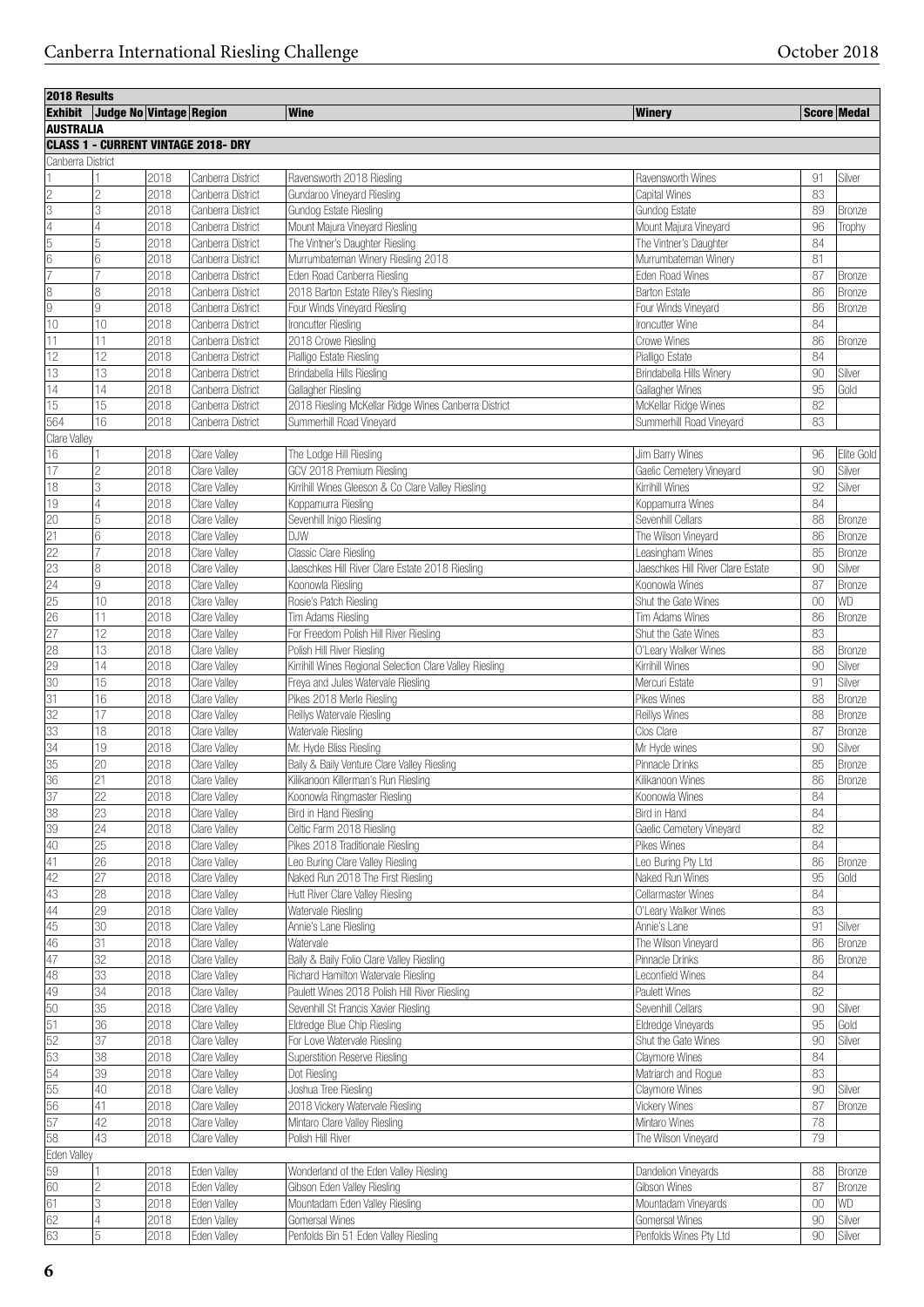| <b>2018 Results</b> |                         |                   |                                            |                                                          |                                   |        |               |
|---------------------|-------------------------|-------------------|--------------------------------------------|----------------------------------------------------------|-----------------------------------|--------|---------------|
| <b>Exhibit</b>      | Judge No Vintage Region |                   |                                            | <b>Wine</b>                                              | <b>Winery</b>                     |        | Score Medal   |
| <b>AUSTRALIA</b>    |                         |                   |                                            |                                                          |                                   |        |               |
|                     |                         |                   | <b>CLASS 1 - CURRENT VINTAGE 2018- DRY</b> |                                                          |                                   |        |               |
| Canberra District   |                         |                   |                                            |                                                          |                                   |        |               |
|                     |                         | 2018              | Canberra District                          | Ravensworth 2018 Riesling                                | Ravensworth Wines                 | 91     | Silver        |
| $\overline{c}$      | $\overline{c}$          | 2018              | Canberra District                          | Gundaroo Vineyard Riesling                               | Capital Wines                     | 83     |               |
| $\overline{3}$      | 3                       | 2018              | Canberra District                          | Gundog Estate Riesling                                   | Gundog Estate                     | 89     | <b>Bronze</b> |
| $\overline{4}$      | 4                       | 2018              | Canberra District                          | Mount Majura Vineyard Riesling                           | Mount Majura Vineyard             | 96     | Trophy        |
| $\overline{5}$      | 5                       | 2018              | Canberra District                          | The Vintner's Daughter Riesling                          | The Vintner's Daughter            | 84     |               |
| 6                   | 6                       | 2018              | Canberra District                          | Murrumbateman Winery Riesling 2018                       | Murrumbateman Winery              | 81     |               |
| 7                   |                         | 2018              | Canberra District                          | Eden Road Canberra Riesling                              | <b>Eden Road Wines</b>            | 87     | Bronze        |
| 8                   | 8                       | 2018              | Canberra District                          | 2018 Barton Estate Riley's Riesling                      | <b>Barton Estate</b>              | 86     | <b>Bronze</b> |
| g                   | 9                       | 2018              | Canberra District                          | Four Winds Vineyard Riesling                             | Four Winds Vineyard               | 86     | <b>Bronze</b> |
| 10                  | 10                      | 2018              | Canberra District                          | Ironcutter Riesling                                      | Ironcutter Wine                   | 84     |               |
| 11                  | 11                      | 2018              | Canberra District                          | 2018 Crowe Riesling                                      | <b>Crowe Wines</b>                | 86     | <b>Bronze</b> |
| 12                  | 12                      | 2018              | Canberra District                          | Pialligo Estate Riesling                                 | Pialligo Estate                   | 84     |               |
| 13                  | 13                      | 2018              | Canberra District                          | Brindabella Hills Riesling                               | Brindabella Hills Winery          | 90     | Silver        |
| 14                  | 14                      | 2018              | Canberra District                          | Gallagher Riesling                                       | Gallagher Wines                   | 95     | Gold          |
| 15                  | 15                      | 2018              | Canberra District                          | 2018 Riesling McKellar Ridge Wines Canberra District     | McKellar Ridge Wines              | 82     |               |
| 564                 | 16                      | 2018              | Canberra District                          | Summerhill Road Vineyard                                 | Summerhill Road Vineyard          | 83     |               |
| Clare Valley        |                         |                   |                                            |                                                          |                                   |        |               |
| 16                  |                         | 2018              | Clare Valley                               | The Lodge Hill Riesling                                  | Jim Barry Wines                   | 96     | Elite Gold    |
| 17                  | $\overline{2}$          | 2018              | Clare Valley                               | GCV 2018 Premium Riesling                                | Gaelic Cemetery Vineyard          | 90     | Silver        |
| 18                  | 3                       | 2018              | Clare Valley                               | Kirrihill Wines Gleeson & Co Clare Valley Riesling       | Kirrihill Wines                   | 92     | Silver        |
| 19                  | 4                       | 2018              | Clare Valley                               | Koppamurra Riesling                                      | Koppamurra Wines                  | 84     |               |
| 20                  | 5                       | 2018              | Clare Valley                               | Sevenhill Inigo Riesling                                 | Sevenhill Cellars                 | 88     | <b>Bronze</b> |
| $\overline{21}$     | 6                       | 2018              | Clare Valley                               | <b>DJW</b>                                               | The Wilson Vineyard               | 86     | <b>Bronze</b> |
| 22                  |                         | 2018              | Clare Valley                               | Classic Clare Riesling                                   | Leasingham Wines                  | 85     | Bronze        |
| 23                  | 8                       | 2018              | Clare Valley                               | Jaeschkes Hill River Clare Estate 2018 Riesling          | Jaeschkes Hill River Clare Estate | 90     | Silver        |
| $\overline{24}$     | 9                       | 2018              | Clare Valley                               | Koonowla Riesling                                        | Koonowla Wines                    | 87     | Bronze        |
| 25                  | 10                      | 2018              | Clare Valley                               | Rosie's Patch Riesling                                   | Shut the Gate Wines               | 00     | WD            |
| 26                  | 11                      | 2018              | Clare Valley                               | Tim Adams Riesling                                       | Tim Adams Wines                   | 86     | <b>Bronze</b> |
| 27                  | 12                      | 2018              | Clare Valley                               | For Freedom Polish Hill River Riesling                   | Shut the Gate Wines               | 83     |               |
| 28                  | 13                      | 2018              | Clare Valley                               | Polish Hill River Riesling                               | O'Leary Walker Wines              | 88     | <b>Bronze</b> |
| 29                  | 14                      | 2018              | Clare Valley                               | Kirrihill Wines Regional Selection Clare Valley Riesling | Kirrihill Wines                   | 90     | Silver        |
| 30                  | 15                      | 2018              | Clare Valley                               | Freya and Jules Watervale Riesling                       | Mercuri Estate                    | 91     | Silver        |
| 31                  | 16                      | 2018              | Clare Valley                               | Pikes 2018 Merle Riesling                                | Pikes Wines                       | 88     | Bronze        |
| 32                  | 17                      | 2018              | Clare Valley                               | Reillys Watervale Riesling                               | Reillys Wines                     | 88     | Bronze        |
| 33                  | 18                      | 2018              | Clare Valley                               | Watervale Riesling                                       | Clos Clare                        | 87     | Bronze        |
| 34                  | 19                      | 2018              | Clare Valley                               | Mr. Hyde Bliss Riesling                                  | Mr Hyde wines                     | 90     | Silver        |
| 35                  | 20                      | 2018              | <b>Clare Valley</b>                        | Baily & Baily Venture Clare Valley Riesling              | Pinnacle Drinks                   | 85     | <b>Bronze</b> |
| 36                  | 21                      | 2018              | Clare Valley                               | Kilikanoon Killerman's Run Riesling                      | Kilikanoon Wines                  | 86     | Bronze        |
| 37                  | 22                      | 2018              | Clare Valley                               | Koonowla Ringmaster Riesling                             | Koonowla Wines                    | 84     |               |
| 38                  | $\overline{23}$         | 2018              | Clare Valley                               | Bird in Hand Riesling                                    | Bird in Hand                      | 84     |               |
| 39                  | 24                      | 2018              | Clare Valley                               | Celtic Farm 2018 Riesling                                | Gaelic Cemetery Vineyard          | 82     |               |
| 40                  | 25                      | 2018              | Clare Valley                               | Pikes 2018 Traditionale Riesling                         | Pikes Wines                       | 84     |               |
| $\overline{41}$     | 26                      | 2018              | Clare Valley                               | Leo Buring Clare Valley Riesling                         | Leo Buring Pty Ltd                | 86     | Bronze        |
| $\overline{42}$     | 27                      | 2018              | Clare Valley                               | Naked Run 2018 The First Riesling                        | Naked Run Wines                   | 95     | Gold          |
| 43                  | 28                      | 2018              | Clare Valley                               | Hutt River Clare Valley Riesling                         | Cellarmaster Wines                | 84     |               |
| 44                  | 29                      | $\overline{2018}$ | Clare Valley                               | Watervale Riesling                                       | O'Leary Walker Wines              | 83     |               |
| 45                  | 30                      | 2018              | Clare Valley                               | Annie's Lane Riesling                                    | Annie's Lane                      | 91     | Silver        |
| 46                  | 31                      | 2018              | Clare Valley                               | Watervale                                                | The Wilson Vineyard               | 86     | Bronze        |
| 47                  | $\overline{32}$         | 2018              | Clare Valley                               | Baily & Baily Folio Clare Valley Riesling                | Pinnacle Drinks                   | 86     | Bronze        |
| 48                  | $\overline{33}$         | 2018              | Clare Valley                               | Richard Hamilton Watervale Riesling                      | Leconfield Wines                  | 84     |               |
| 49                  | 34                      | 2018              | Clare Valley                               | Paulett Wines 2018 Polish Hill River Riesling            | Paulett Wines                     | 82     |               |
| 50                  | 35                      | 2018              | Clare Valley                               | Sevenhill St Francis Xavier Riesling                     | Sevenhill Cellars                 | 90     | Silver        |
| $\overline{51}$     | $\overline{36}$         | 2018              | Clare Valley                               | Eldredge Blue Chip Riesling                              | Eldredge Vineyards                | 95     | Gold          |
| 52                  | $\overline{37}$         | 2018              | Clare Valley                               | For Love Watervale Riesling                              | Shut the Gate Wines               | 90     | Silver        |
| 53                  | 38                      | 2018              | Clare Valley                               | <b>Superstition Reserve Riesling</b>                     | Claymore Wines                    | 84     |               |
| 54                  | 39                      | 2018              | Clare Valley                               | Dot Riesling                                             | Matriarch and Rogue               | 83     |               |
| 55                  | 40                      | 2018              | Clare Valley                               | Joshua Tree Riesling                                     | Claymore Wines                    | 90     | Silver        |
| 56                  | 41                      | 2018              | Clare Valley                               | 2018 Vickery Watervale Riesling                          | <b>Vickery Wines</b>              | 87     | Bronze        |
| 57                  | 42                      | 2018              | Clare Valley                               | Mintaro Clare Valley Riesling                            | Mintaro Wines                     | 78     |               |
| 58                  | 43                      | 2018              | Clare Valley                               | Polish Hill River                                        | The Wilson Vineyard               | 79     |               |
| Eden Valley         |                         |                   |                                            |                                                          |                                   |        |               |
| 59                  |                         | 2018              | Eden Valley                                | Wonderland of the Eden Valley Riesling                   | Dandelion Vineyards               | 88     | Bronze        |
| 60                  | $\overline{c}$          | 2018              | Eden Valley                                | Gibson Eden Valley Riesling                              | Gibson Wines                      | 87     | Bronze        |
| 61                  | 3                       | 2018              | Eden Valley                                | Mountadam Eden Valley Riesling                           | Mountadam Vineyards               | $00\,$ | WD            |
| 62                  | 4                       | 2018              | Eden Valley                                | Gomersal Wines                                           | Gomersal Wines                    | $90\,$ | Silver        |
| 63                  | 5                       | 2018              | Eden Valley                                | Penfolds Bin 51 Eden Valley Riesling                     | Penfolds Wines Pty Ltd            | 90     | Silver        |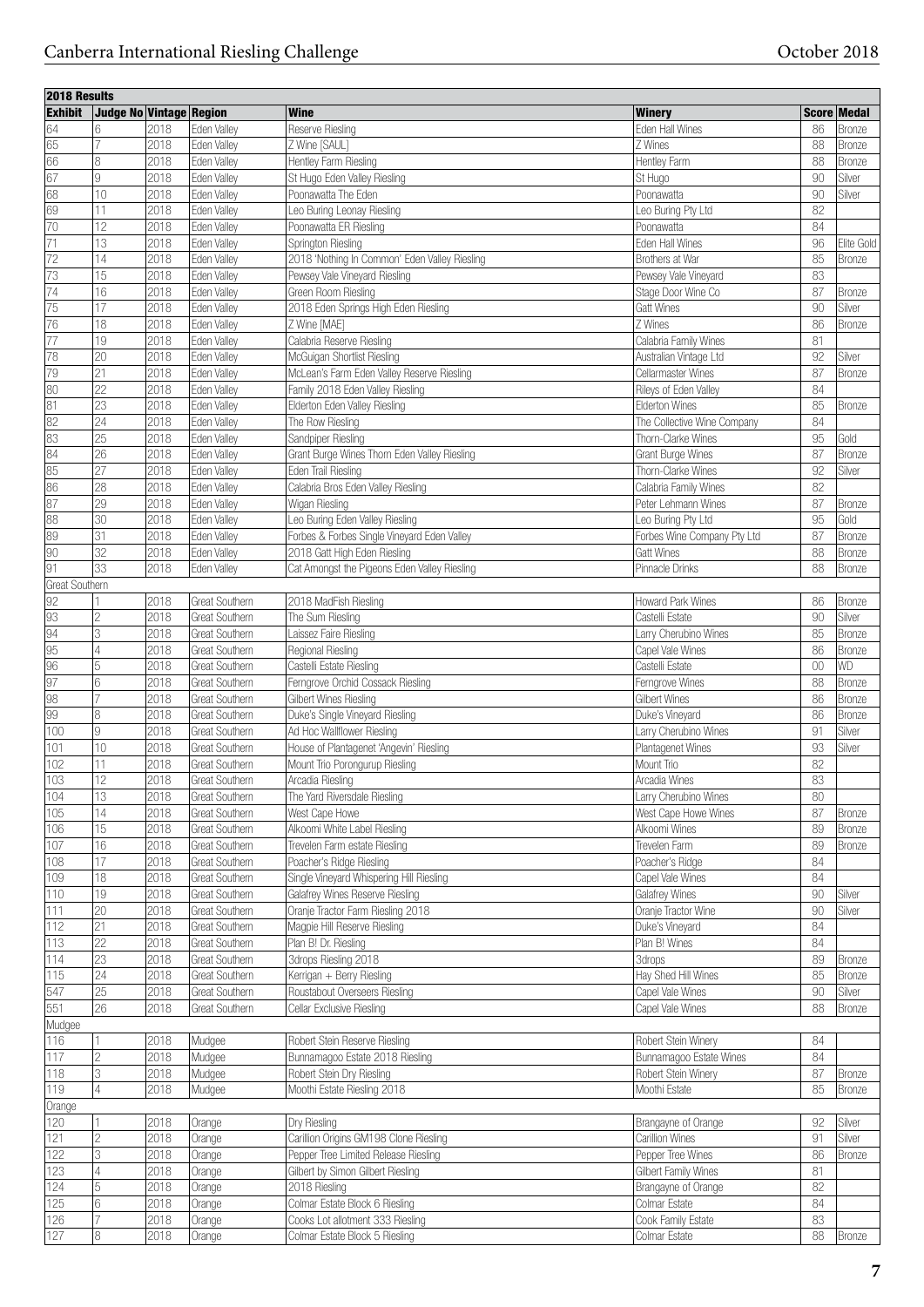| 2018 Results     |                         |      |                |                                               |                             |        |               |
|------------------|-------------------------|------|----------------|-----------------------------------------------|-----------------------------|--------|---------------|
| <b>Exhibit</b>   | Judge No Vintage Region |      |                | <b>Wine</b>                                   | <b>Winery</b>               |        | Score Medal   |
| 64               | 16                      | 2018 | Eden Valley    | Reserve Riesling                              | Eden Hall Wines             | 86     | <b>Bronze</b> |
| 65               |                         | 2018 | Eden Valley    |                                               | Z Wines                     | 88     |               |
|                  |                         |      |                | Z Wine [SAUL]                                 |                             |        | <b>Bronze</b> |
| 66               | 18                      | 2018 | Eden Valley    | Hentley Farm Riesling                         | Hentley Farm                | 88     | <b>Bronze</b> |
| $\overline{67}$  | 19                      | 2018 | Eden Valley    | St Hugo Eden Valley Riesling                  | St Hugo                     | 90     | Silver        |
| 68               | 10                      | 2018 | Eden Valley    | Poonawatta The Eden                           | Poonawatta                  | 90     | Silver        |
| 69               | 11                      | 2018 | Eden Valley    | Leo Buring Leonay Riesling                    | Leo Buring Pty Ltd          | 82     |               |
| 70               | 12                      | 2018 | Eden Valley    | Poonawatta ER Riesling                        | Poonawatta                  | 84     |               |
| $\overline{71}$  |                         |      |                |                                               |                             |        |               |
|                  | 13                      | 2018 | Eden Valley    | Springton Riesling                            | Eden Hall Wines             | 96     | Elite Gold    |
| 72               | 14                      | 2018 | Eden Valley    | 2018 'Nothing In Common' Eden Valley Riesling | Brothers at War             | 85     | <b>Bronze</b> |
| 73               | 15                      | 2018 | Eden Valley    | Pewsey Vale Vineyard Riesling                 | Pewsey Vale Vineyard        | 83     |               |
| $\sqrt{74}$      | 16                      | 2018 | Eden Vallev    | Green Room Riesling                           | Stage Door Wine Co          | 87     | <b>Bronze</b> |
| 75               | 17                      | 2018 | Eden Valley    | 2018 Eden Springs High Eden Riesling          | <b>Gatt Wines</b>           | 90     | Silver        |
| 76               | 18                      | 2018 |                | Z Wine [MAE]                                  | Z Wines                     | 86     | Bronze        |
|                  |                         |      | Eden Valley    |                                               |                             |        |               |
| $\overline{77}$  | 19                      | 2018 | Eden Valley    | Calabria Reserve Riesling                     | Calabria Family Wines       | 81     |               |
| 78               | 20                      | 2018 | Eden Valley    | McGuigan Shortlist Riesling                   | Australian Vintage Ltd      | 92     | Silver        |
| 79               | 21                      | 2018 | Eden Valley    | McLean's Farm Eden Valley Reserve Riesling    | Cellarmaster Wines          | 87     | <b>Bronze</b> |
| 80               | 22                      | 2018 | Eden Valley    | Family 2018 Eden Valley Riesling              | Rileys of Eden Valley       | 84     |               |
| 81               | 23                      | 2018 | Eden Valley    |                                               | <b>Elderton Wines</b>       | 85     |               |
|                  |                         |      |                | Elderton Eden Valley Riesling                 |                             |        | <b>Bronze</b> |
| 82               | 24                      | 2018 | Eden Valley    | The Row Riesling                              | The Collective Wine Company | 84     |               |
| 83               | 25                      | 2018 | Eden Valley    | Sandpiper Riesling                            | Thorn-Clarke Wines          | 95     | Gold          |
| 84               | 26                      | 2018 | Eden Valley    | Grant Burge Wines Thorn Eden Valley Riesling  | Grant Burge Wines           | 87     | Bronze        |
| 85               | 27                      | 2018 | Eden Valley    | Eden Trail Riesling                           | Thorn-Clarke Wines          | 92     | Silver        |
| 86               |                         |      |                |                                               |                             |        |               |
|                  | 28                      | 2018 | Eden Valley    | Calabria Bros Eden Valley Riesling            | Calabria Family Wines       | 82     |               |
| 87               | 29                      | 2018 | Eden Valley    | Wigan Riesling                                | Peter Lehmann Wines         | 87     | Bronze        |
| 88               | 30                      | 2018 | Eden Valley    | Leo Buring Eden Valley Riesling               | Leo Buring Pty Ltd          | 95     | Gold          |
| 89               | 31                      | 2018 | Eden Valley    | Forbes & Forbes Single Vineyard Eden Valley   | Forbes Wine Company Pty Ltd | 87     | Bronze        |
| 90               | 32                      | 2018 | Eden Valley    | 2018 Gatt High Eden Riesling                  | <b>Gatt Wines</b>           | 88     | Bronze        |
|                  |                         |      |                |                                               |                             |        |               |
| 91               | 33                      | 2018 | Eden Valley    | Cat Amongst the Pigeons Eden Valley Riesling  | Pinnacle Drinks             | 88     | Bronze        |
| Great Southern   |                         |      |                |                                               |                             |        |               |
| $\frac{92}{93}$  |                         | 2018 | Great Southern | 2018 MadFish Riesling                         | Howard Park Wines           | 86     | Bronze        |
|                  | 2                       | 2018 | Great Southern | The Sum Riesling                              | Castelli Estate             | 90     | Silver        |
|                  | 3                       | 2018 | Great Southern | Laissez Faire Riesling                        | Larry Cherubino Wines       | 85     | <b>Bronze</b> |
| $\frac{94}{95}$  |                         |      |                |                                               |                             |        |               |
|                  | 4                       | 2018 | Great Southern | Regional Riesling                             | Capel Vale Wines            | 86     | <b>Bronze</b> |
| 96               | 5                       | 2018 | Great Southern | Castelli Estate Riesling                      | Castelli Estate             | 00     | WD            |
| 97               | 6                       | 2018 | Great Southern | Ferngrove Orchid Cossack Riesling             | Ferngrove Wines             | 88     | Bronze        |
| 98               | 17                      | 2018 | Great Southern | Gilbert Wines Riesling                        | <b>Gilbert Wines</b>        | 86     | Bronze        |
| 99               | 8                       | 2018 | Great Southern | Duke's Single Vineyard Riesling               | Duke's Vineyard             | 86     | Bronze        |
|                  |                         |      |                |                                               |                             |        |               |
| 100              | l9                      | 2018 | Great Southern | Ad Hoc Wallflower Riesling                    | Larry Cherubino Wines       | 91     | Silver        |
| 101              | 10                      | 2018 | Great Southern | House of Plantagenet 'Angevin' Riesling       | Plantagenet Wines           | 93     | Silver        |
| 102              | 11                      | 2018 | Great Southern | Mount Trio Porongurup Riesling                | Mount Trio                  | 82     |               |
| 103              | 12                      | 2018 | Great Southern | Arcadia Riesling                              | Arcadia Wines               | 83     |               |
|                  |                         |      |                |                                               |                             |        |               |
| 104              | 13                      | 2018 | Great Southern | The Yard Riversdale Riesling                  | Larry Cherubino Wines       | 80     |               |
| 105              | 14                      | 2018 | Great Southern | West Cape Howe                                | West Cape Howe Wines        | 87     | Bronze        |
| 106              | 15                      | 2018 | Great Southern | Alkoomi White Label Riesling                  | Alkoomi Wines               | 89     | Bronze        |
| 107              | 16                      | 2018 | Great Southern | Trevelen Farm estate Riesling                 | Trevelen Farm               | 89     | Bronze        |
| 108              | 17                      | 2018 | Great Southern | Poacher's Ridge Riesling                      | Poacher's Ridge             | 84     |               |
|                  |                         |      |                |                                               |                             |        |               |
| 109              | 18                      | 2018 | Great Southern | Single Vineyard Whispering Hill Riesling      | Capel Vale Wines            | 84     |               |
| 110              | 19                      | 2018 | Great Southern | Galafrey Wines Reserve Riesling               | Galafrey Wines              | 90     | Silver        |
| 111              | 20                      | 2018 | Great Southern | Oranje Tractor Farm Riesling 2018             | Oranje Tractor Wine         | $90\,$ | Silver        |
| 112              | 21                      | 2018 | Great Southern | Magpie Hill Reserve Riesling                  | Duke's Vineyard             | 84     |               |
| 113              | 22                      | 2018 | Great Southern | Plan B! Dr. Riesling                          | Plan B! Wines               | 84     |               |
| 114              | 23                      |      |                |                                               |                             | 89     |               |
|                  |                         | 2018 | Great Southern | 3drops Riesling 2018                          | <b>3drops</b>               |        | <b>Bronze</b> |
| $\overline{115}$ | 24                      | 2018 | Great Southern | Kerrigan + Berry Riesling                     | Hay Shed Hill Wines         | 85     | Bronze        |
| 547              | 25                      | 2018 | Great Southern | Roustabout Overseers Riesling                 | Capel Vale Wines            | 90     | Silver        |
| 551              | 26                      | 2018 | Great Southern | Cellar Exclusive Riesling                     | Capel Vale Wines            | 88     | Bronze        |
| Mudgee           |                         |      |                |                                               |                             |        |               |
|                  | 1                       |      |                |                                               |                             |        |               |
| 116              |                         | 2018 | Mudgee         | Robert Stein Reserve Riesling                 | Robert Stein Winery         | 84     |               |
| $\overline{117}$ | 2                       | 2018 | Mudgee         | Bunnamagoo Estate 2018 Riesling               | Bunnamagoo Estate Wines     | 84     |               |
| 118              | 3                       | 2018 | Mudgee         | Robert Stein Dry Riesling                     | Robert Stein Winery         | 87     | Bronze        |
| 119              | $\vert 4$               | 2018 | Mudgee         | Moothi Estate Riesling 2018                   | Moothi Estate               | 85     | Bronze        |
| Orange           |                         |      |                |                                               |                             |        |               |
|                  |                         |      |                |                                               |                             |        |               |
| 120              | 11                      | 2018 | Orange         | Dry Riesling                                  | Brangayne of Orange         | 92     | Silver        |
| 121              | 2                       | 2018 | Orange         | Carillion Origins GM198 Clone Riesling        | Carillion Wines             | 91     | Silver        |
| 122              | 3                       | 2018 | Orange         | Pepper Tree Limited Release Riesling          | Pepper Tree Wines           | 86     | Bronze        |
| 123              | 4                       | 2018 | Orange         | Gilbert by Simon Gilbert Riesling             | Gilbert Family Wines        | 81     |               |
| 124              | 5                       | 2018 | Orange         | 2018 Riesling                                 | Brangayne of Orange         | 82     |               |
|                  |                         |      |                |                                               |                             |        |               |
| 125              | 6                       | 2018 | Orange         | Colmar Estate Block 6 Riesling                | Colmar Estate               | 84     |               |
| 126              | 17                      | 2018 | Orange         | Cooks Lot allotment 333 Riesling              | Cook Family Estate          | 83     |               |
| 127              | 8                       | 2018 | Orange         | Colmar Estate Block 5 Riesling                | Colmar Estate               | $88\,$ | Bronze        |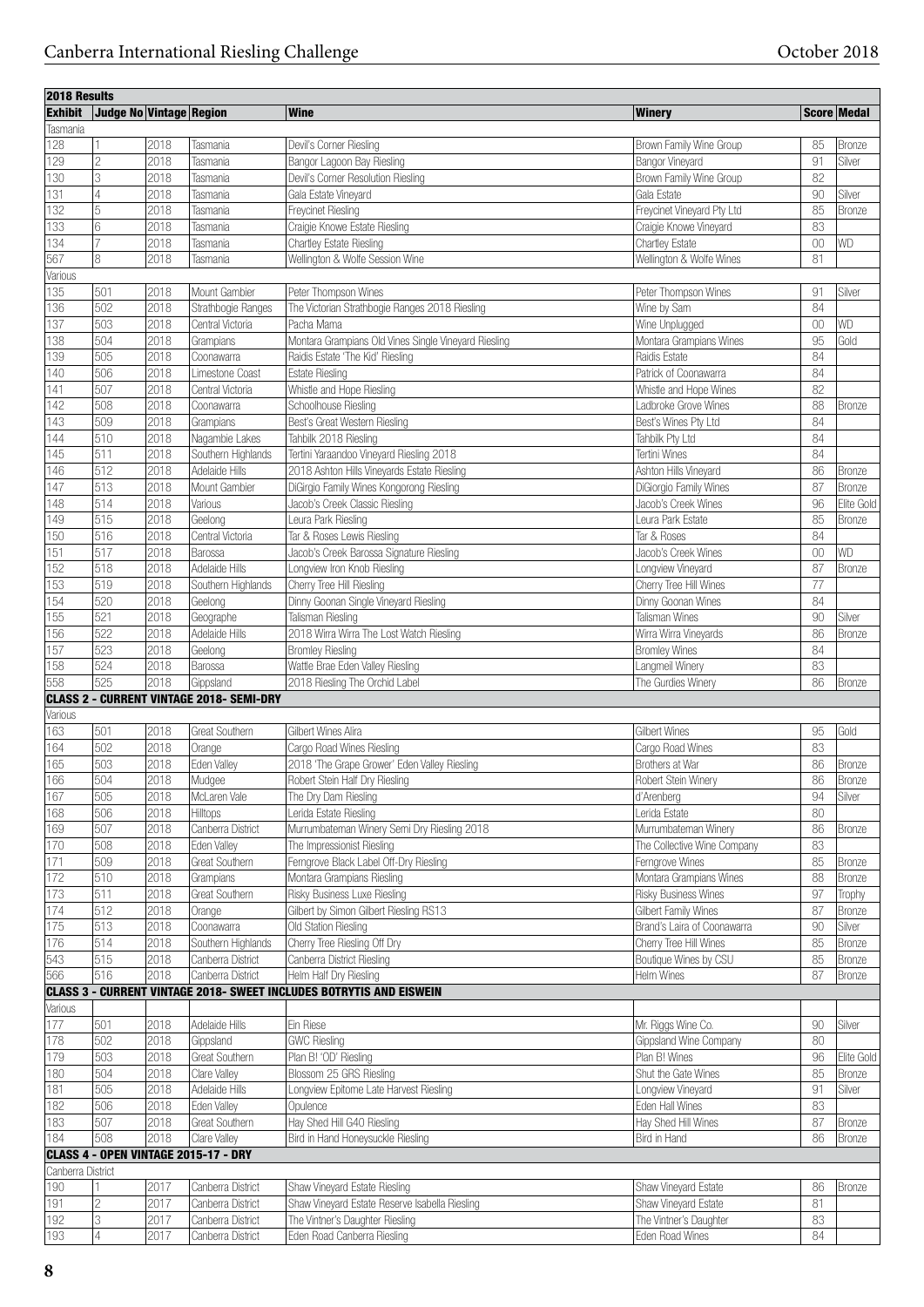| 2018 Results      |                         |      |                                                 |                                                                            |                             |        |               |
|-------------------|-------------------------|------|-------------------------------------------------|----------------------------------------------------------------------------|-----------------------------|--------|---------------|
| <b>Exhibit</b>    | Judge No Vintage Region |      |                                                 | <b>Wine</b>                                                                | <b>Winery</b>               |        | Score Medal   |
| Tasmania          |                         |      |                                                 |                                                                            |                             |        |               |
| 128               | 11                      | 2018 | Tasmania                                        | Devil's Corner Riesling                                                    | Brown Family Wine Group     | 85     | <b>Bronze</b> |
| 129               | 2                       | 2018 | Tasmania                                        | Bangor Lagoon Bay Riesling                                                 | Bangor Vineyard             | 91     | Silver        |
| 130               | 3                       | 2018 | Tasmania                                        | Devil's Corner Resolution Riesling                                         | Brown Family Wine Group     | 82     |               |
| 131               | 4                       | 2018 | Tasmania                                        | Gala Estate Vinevard                                                       | Gala Estate                 | 90     | Silver        |
|                   |                         |      |                                                 |                                                                            |                             |        |               |
| 132               | 5                       | 2018 | Tasmania                                        | <b>Frevcinet Riesling</b>                                                  | Freycinet Vineyard Pty Ltd  | 85     | <b>Bronze</b> |
| 133               | 6                       | 2018 | Tasmania                                        | Craigie Knowe Estate Riesling                                              | Craigie Knowe Vineyard      | 83     |               |
| 134               | $\overline{7}$          | 2018 | Tasmania                                        | Chartley Estate Riesling                                                   | Chartley Estate             | $00\,$ | <b>WD</b>     |
| 567               | 8                       | 2018 | Tasmania                                        | Wellington & Wolfe Session Wine                                            | Wellington & Wolfe Wines    | 81     |               |
| Various           |                         |      |                                                 |                                                                            |                             |        |               |
| 135               | 501                     | 2018 | Mount Gambier                                   | Peter Thompson Wines                                                       | Peter Thompson Wines        | 91     | Silver        |
| 136               | 502                     | 2018 | Strathbogie Ranges                              | The Victorian Strathbogie Ranges 2018 Riesling                             | Wine by Sam                 | 84     |               |
| 137               | 503                     | 2018 | Central Victoria                                | Pacha Mama                                                                 | Wine Unplugged              | $00\,$ | <b>WD</b>     |
| 138               | 504                     | 2018 | Grampians                                       | Montara Grampians Old Vines Single Vineyard Riesling                       | Montara Grampians Wines     | 95     | Gold          |
| 139               | 505                     | 2018 | Coonawarra                                      | Raidis Estate 'The Kid' Riesling                                           | Raidis Estate               | 84     |               |
| 140               | 506                     | 2018 | Limestone Coast                                 | <b>Estate Riesling</b>                                                     | Patrick of Coonawarra       | 84     |               |
|                   |                         |      |                                                 |                                                                            |                             | 82     |               |
| 141               | 507                     | 2018 | Central Victoria                                | Whistle and Hope Riesling                                                  | Whistle and Hope Wines      |        |               |
| 142               | 508                     | 2018 | Coonawarra                                      | Schoolhouse Riesling                                                       | Ladbroke Grove Wines        | 88     | <b>Bronze</b> |
| 143               | 509                     | 2018 | Grampians                                       | Best's Great Western Riesling                                              | Best's Wines Pty Ltd        | 84     |               |
| 144               | 510                     | 2018 | Nagambie Lakes                                  | Tahbilk 2018 Riesling                                                      | Tahbilk Pty Ltd             | 84     |               |
| 145               | 511                     | 2018 | Southern Highlands                              | Tertini Yaraandoo Vineyard Riesling 2018                                   | Tertini Wines               | 84     |               |
| 146               | 512                     | 2018 | Adelaide Hills                                  | 2018 Ashton Hills Vineyards Estate Riesling                                | Ashton Hills Vineyard       | 86     | <b>Bronze</b> |
| 147               | 513                     | 2018 | Mount Gambier                                   | DiGirgio Family Wines Kongorong Riesling                                   | DiGiorgio Family Wines      | 87     | Bronze        |
| 148               | 514                     | 2018 | Various                                         | Jacob's Creek Classic Riesling                                             | Jacob's Creek Wines         | 96     | Elite Gold    |
| 149               | 515                     | 2018 | Geelong                                         | Leura Park Riesling                                                        | Leura Park Estate           | 85     | Bronze        |
| 150               | 516                     | 2018 | Central Victoria                                | Tar & Roses Lewis Riesling                                                 | Tar & Roses                 | 84     |               |
|                   |                         |      |                                                 |                                                                            |                             |        |               |
| 151               | 517                     | 2018 | Barossa                                         | Jacob's Creek Barossa Signature Riesling                                   | Jacob's Creek Wines         | 00     | WD            |
| 152               | 518                     | 2018 | Adelaide Hills                                  | Longview Iron Knob Riesling                                                | Longview Vineyard           | 87     | Bronze        |
| 153               | 519                     | 2018 | Southern Highlands                              | Cherry Tree Hill Riesling                                                  | Cherry Tree Hill Wines      | 77     |               |
| 154               | 520                     | 2018 | Geelong                                         | Dinny Goonan Single Vineyard Riesling                                      | Dinny Goonan Wines          | 84     |               |
| 155               | 521                     | 2018 | Geographe                                       | Talisman Riesling                                                          | Talisman Wines              | 90     | Silver        |
| 156               | 522                     | 2018 | Adelaide Hills                                  | 2018 Wirra Wirra The Lost Watch Riesling                                   | Wirra Wirra Vineyards       | 86     | <b>Bronze</b> |
| 157               | 523                     | 2018 | Geelong                                         | <b>Bromley Riesling</b>                                                    | <b>Bromley Wines</b>        | 84     |               |
| 158               | 524                     | 2018 | Barossa                                         | Wattle Brae Eden Valley Riesling                                           | Langmeil Winery             | 83     |               |
| 558               | 525                     | 2018 |                                                 |                                                                            |                             | 86     |               |
|                   |                         |      | Gippsland                                       | 2018 Riesling The Orchid Label                                             | The Gurdies Winery          |        | Bronze        |
|                   |                         |      | <b>CLASS 2 - CURRENT VINTAGE 2018- SEMI-DRY</b> |                                                                            |                             |        |               |
| Various           |                         |      |                                                 |                                                                            |                             |        |               |
| 163               | 501                     | 2018 | Great Southern                                  | Gilbert Wines Alira                                                        | <b>Gilbert Wines</b>        | 95     | Gold          |
| 164               | 502                     | 2018 | Orange                                          | Cargo Road Wines Riesling                                                  | Cargo Road Wines            | 83     |               |
| 165               | 503                     | 2018 | Eden Valley                                     | 2018 'The Grape Grower' Eden Valley Riesling                               | Brothers at War             | 86     | Bronze        |
| 166               | 504                     | 2018 | Mudgee                                          | Robert Stein Half Dry Riesling                                             | Robert Stein Winery         | 86     | Bronze        |
| 167               | 505                     | 2018 | McLaren Vale                                    | The Dry Dam Riesling                                                       | d'Arenberg                  | 94     | Silver        |
| 168               | 506                     | 2018 | Hilltops                                        | Lerida Estate Riesling                                                     | Lerida Estate               | 80     |               |
| 169               | 507                     | 2018 | Canberra District                               | Murrumbateman Winery Semi Dry Riesling 2018                                | Murrumbateman Winery        | 86     | Bronze        |
|                   |                         | 2018 |                                                 |                                                                            |                             |        |               |
| 170               | 508                     |      | Eden Valley                                     | The Impressionist Riesling                                                 | The Collective Wine Company | 83     |               |
| 171               | 509                     | 2018 | Great Southern                                  | Ferngrove Black Label Off-Dry Riesling                                     | Ferngrove Wines             | 85     | Bronze        |
| 172               | 510                     | 2018 | Grampians                                       | Montara Grampians Riesling                                                 | Montara Grampians Wines     | 88     | Bronze        |
| 173               | 511                     | 2018 | Great Southern                                  | Risky Business Luxe Riesling                                               | Risky Business Wines        | 97     | Trophy        |
| 174               | 512                     | 2018 | Orange                                          | Gilbert by Simon Gilbert Riesling RS13                                     | Gilbert Family Wines        | 87     | Bronze        |
| 175               | 513                     | 2018 | Coonawarra                                      | Old Station Riesling                                                       | Brand's Laira of Coonawarra | 90     | Silver        |
| 176               | 514                     | 2018 | Southern Highlands                              | Cherry Tree Riesling Off Dry                                               | Cherry Tree Hill Wines      | 85     | <b>Bronze</b> |
| 543               | 515                     | 2018 | Canberra District                               | Canberra District Riesling                                                 | Boutique Wines by CSU       | 85     | Bronze        |
| 566               | 516                     | 2018 | Canberra District                               | Helm Half Dry Riesling                                                     | Helm Wines                  | 87     | Bronze        |
|                   |                         |      |                                                 | <b>CLASS 3 - CURRENT VINTAGE 2018- SWEET INCLUDES BOTRYTIS AND EISWEIN</b> |                             |        |               |
|                   |                         |      |                                                 |                                                                            |                             |        |               |
| Various           |                         |      |                                                 |                                                                            |                             |        |               |
| 177               | 501                     | 2018 | Adelaide Hills                                  | Ein Riese                                                                  | Mr. Riggs Wine Co.          | 90     | Silver        |
| 178               | 502                     | 2018 | Gippsland                                       | <b>GWC Riesling</b>                                                        | Gippsland Wine Company      | 80     |               |
| 179               | 503                     | 2018 | Great Southern                                  | Plan B! 'OD' Riesling                                                      | Plan B! Wines               | 96     | Elite Gold    |
| 180               | 504                     | 2018 | Clare Valley                                    | Blossom 25 GRS Riesling                                                    | Shut the Gate Wines         | 85     | <b>Bronze</b> |
| 181               | 505                     | 2018 | Adelaide Hills                                  | Longview Epitome Late Harvest Riesling                                     | Longview Vineyard           | 91     | Silver        |
| 182               | 506                     | 2018 | Eden Valley                                     | Opulence                                                                   | Eden Hall Wines             | 83     |               |
|                   |                         |      |                                                 |                                                                            |                             |        |               |
| 183               | 507                     | 2018 | Great Southern                                  | Hay Shed Hill G40 Riesling                                                 | Hay Shed Hill Wines         | 87     | Bronze        |
| 184               | 508                     | 2018 | Clare Valley                                    | Bird in Hand Honeysuckle Riesling                                          | Bird in Hand                | 86     | Bronze        |
|                   |                         |      | CLASS 4 - OPEN VINTAGE 2015-17 - DRY            |                                                                            |                             |        |               |
| Canberra District |                         |      |                                                 |                                                                            |                             |        |               |
| 190               | 11                      | 2017 | Canberra District                               | Shaw Vineyard Estate Riesling                                              | Shaw Vineyard Estate        | 86     | Bronze        |
| 191               | 2                       | 2017 | Canberra District                               | Shaw Vineyard Estate Reserve Isabella Riesling                             | Shaw Vineyard Estate        | 81     |               |
| 192               | 3                       | 2017 | Canberra District                               | The Vintner's Daughter Riesling                                            | The Vintner's Daughter      | 83     |               |
| 193               | $\overline{4}$          | 2017 | Canberra District                               | Eden Road Canberra Riesling                                                | Eden Road Wines             | 84     |               |
|                   |                         |      |                                                 |                                                                            |                             |        |               |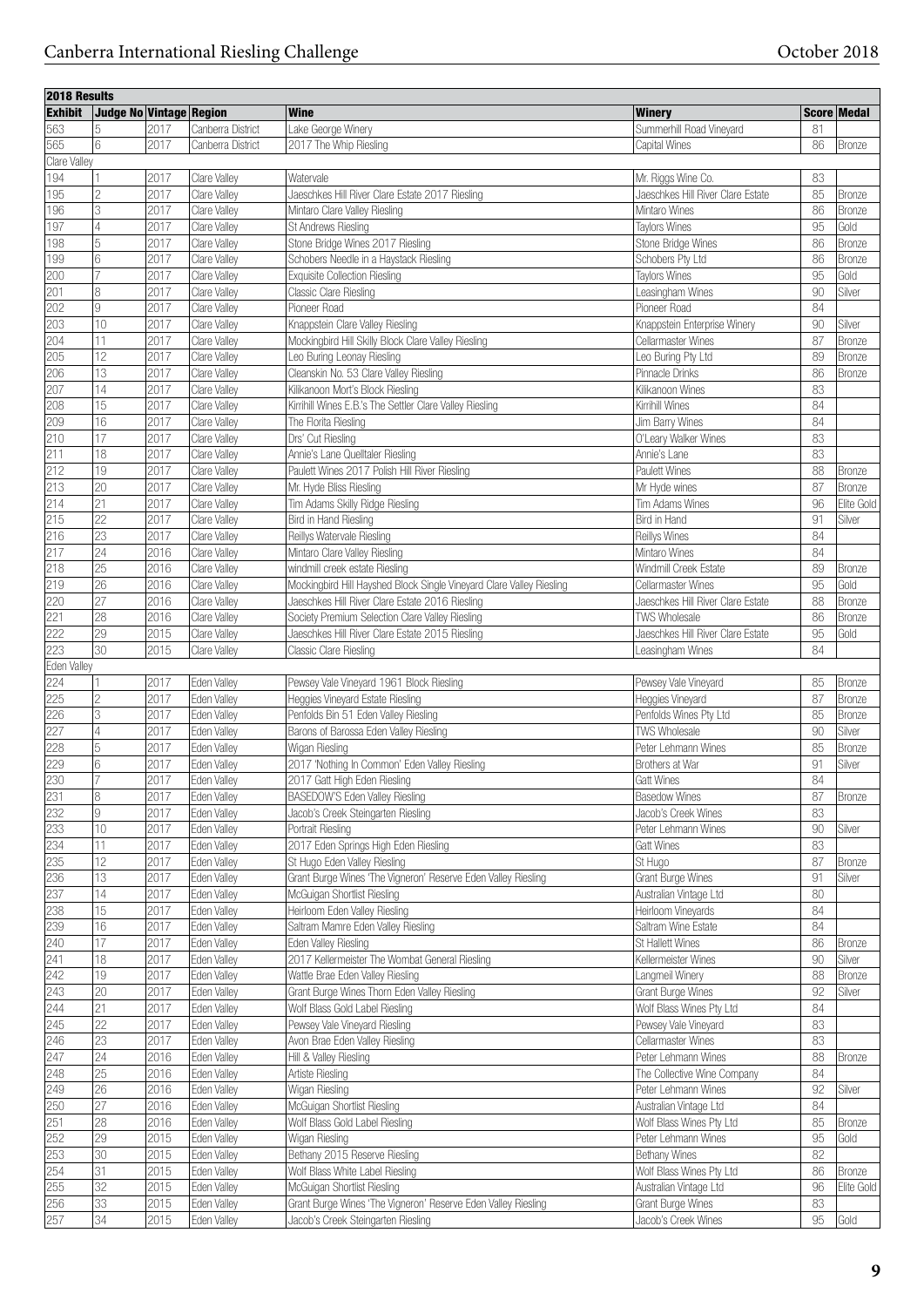| 2018 Results   |                         |      |                   |                                                                      |                                   |    |               |
|----------------|-------------------------|------|-------------------|----------------------------------------------------------------------|-----------------------------------|----|---------------|
| <b>Exhibit</b> | Judge No Vintage Region |      |                   | <b>Wine</b>                                                          | Winery                            |    | Score Medal   |
| 563            | 5                       | 2017 | Canberra District | Lake George Winery                                                   | Summerhill Road Vineyard          | 81 |               |
| 565            | 6                       | 2017 | Canberra District | 2017 The Whip Riesling                                               | Capital Wines                     | 86 | <b>Bronze</b> |
| Clare Valley   |                         |      |                   |                                                                      |                                   |    |               |
| 194            |                         | 2017 | Clare Valley      | Watervale                                                            | Mr. Riggs Wine Co.                | 83 |               |
|                | $\overline{c}$          | 2017 |                   | Jaeschkes Hill River Clare Estate 2017 Riesling                      | Jaeschkes Hill River Clare Estate | 85 |               |
| 195            |                         |      | Clare Valley      |                                                                      |                                   |    | <b>Bronze</b> |
| 196            | 3                       | 2017 | Clare Valley      | Mintaro Clare Valley Riesling                                        | Mintaro Wines                     | 86 | <b>Bronze</b> |
| 197            | 4                       | 2017 | Clare Valley      | <b>St Andrews Riesling</b>                                           | <b>Taylors Wines</b>              | 95 | Gold          |
| 198            | 5                       | 2017 | Clare Valley      | Stone Bridge Wines 2017 Riesling                                     | Stone Bridge Wines                | 86 | <b>Bronze</b> |
| 199            | 6                       | 2017 | Clare Valley      | Schobers Needle in a Haystack Riesling                               | Schobers Pty Ltd                  | 86 | <b>Bronze</b> |
| 200            |                         | 2017 | Clare Valley      | <b>Exquisite Collection Riesling</b>                                 | <b>Taylors Wines</b>              | 95 | Gold          |
| 201            | 8                       | 2017 | Clare Vallev      | Classic Clare Riesling                                               | Leasingham Wines                  | 90 | Silver        |
| 202            | 9                       | 2017 | Clare Valley      | Pioneer Road                                                         | Pioneer Road                      | 84 |               |
| 203            | 10                      | 2017 | Clare Valley      | Knappstein Clare Valley Riesling                                     | Knappstein Enterprise Winery      | 90 | Silver        |
| 204            | 11                      | 2017 | Clare Valley      | Mockingbird Hill Skilly Block Clare Valley Riesling                  | Cellarmaster Wines                | 87 | Bronze        |
| 205            | $\overline{12}$         | 2017 | Clare Valley      | Leo Buring Leonay Riesling                                           | Leo Buring Pty Ltd                | 89 | Bronze        |
| 206            | 13                      | 2017 | Clare Valley      | Cleanskin No. 53 Clare Valley Riesling                               | Pinnacle Drinks                   | 86 | <b>Bronze</b> |
|                |                         |      |                   |                                                                      |                                   |    |               |
| 207            | 14                      | 2017 | Clare Valley      | Kilikanoon Mort's Block Riesling                                     | Kilikanoon Wines                  | 83 |               |
| 208            | 15                      | 2017 | Clare Valley      | Kirrihill Wines E.B.'s The Settler Clare Valley Riesling             | Kirrihill Wines                   | 84 |               |
| 209            | 16                      | 2017 | Clare Valley      | The Florita Riesling                                                 | Jim Barry Wines                   | 84 |               |
| 210            | 17                      | 2017 | Clare Valley      | Drs' Cut Riesling                                                    | O'Leary Walker Wines              | 83 |               |
| 211            | 18                      | 2017 | Clare Valley      | Annie's Lane Quelltaler Riesling                                     | Annie's Lane                      | 83 |               |
| 212            | 19                      | 2017 | Clare Valley      | Paulett Wines 2017 Polish Hill River Riesling                        | <b>Paulett Wines</b>              | 88 | Bronze        |
| 213            | 20                      | 2017 | Clare Valley      | Mr. Hyde Bliss Riesling                                              | Mr Hyde wines                     | 87 | Bronze        |
| 214            | 21                      | 2017 | Clare Valley      | Tim Adams Skilly Ridge Riesling                                      | Tim Adams Wines                   | 96 | Elite Gold    |
| 215            | $\overline{22}$         | 2017 | Clare Valley      | Bird in Hand Riesling                                                | Bird in Hand                      | 91 | Silver        |
| 216            | 23                      | 2017 | Clare Valley      | Reillys Watervale Riesling                                           | Reillys Wines                     | 84 |               |
| 217            | $\overline{24}$         | 2016 | Clare Valley      |                                                                      | Mintaro Wines                     | 84 |               |
|                |                         |      |                   | Mintaro Clare Valley Riesling                                        |                                   |    |               |
| 218            | $\overline{25}$         | 2016 | Clare Valley      | windmill creek estate Riesling                                       | Windmill Creek Estate             | 89 | Bronze        |
| 219            | 26                      | 2016 | Clare Valley      | Mockingbird Hill Hayshed Block Single Vineyard Clare Valley Riesling | Cellarmaster Wines                | 95 | Gold          |
| 220            | 27                      | 2016 | Clare Valley      | Jaeschkes Hill River Clare Estate 2016 Riesling                      | Jaeschkes Hill River Clare Estate | 88 | Bronze        |
| 221            | $\overline{28}$         | 2016 | Clare Valley      | Society Premium Selection Clare Valley Riesling                      | <b>TWS Wholesale</b>              | 86 | Bronze        |
| 222            | 29                      | 2015 | Clare Valley      | Jaeschkes Hill River Clare Estate 2015 Riesling                      | Jaeschkes Hill River Clare Estate | 95 | Gold          |
| 223            | $\overline{30}$         | 2015 | Clare Valley      | Classic Clare Riesling                                               | Leasingham Wines                  | 84 |               |
| Eden Valley    |                         |      |                   |                                                                      |                                   |    |               |
| 224            |                         | 2017 | Eden Valley       | Pewsey Vale Vineyard 1961 Block Riesling                             | Pewsey Vale Vineyard              | 85 | Bronze        |
| 225            | $\overline{c}$          | 2017 | Eden Valley       | Heggies Vineyard Estate Riesling                                     | Heggies Vineyard                  | 87 | Bronze        |
| 226            | 3                       | 2017 | Eden Valley       | Penfolds Bin 51 Eden Valley Riesling                                 | Penfolds Wines Pty Ltd            | 85 | Bronze        |
| 227            | 4                       | 2017 | Eden Valley       | Barons of Barossa Eden Valley Riesling                               | TWS Wholesale                     | 90 | Silver        |
|                |                         |      | Eden Valley       |                                                                      | Peter Lehmann Wines               |    |               |
| 228            | 5                       | 2017 |                   | Wigan Riesling                                                       |                                   | 85 | Bronze        |
| 229            | 6                       | 2017 | Eden Valley       | 2017 'Nothing In Common' Eden Valley Riesling                        | Brothers at War                   | 91 | Silver        |
| 230            |                         | 2017 | Eden Valley       | 2017 Gatt High Eden Riesling                                         | Gatt Wines                        | 84 |               |
| 231            | 8                       | 2017 | Eden Valley       | BASEDOW'S Eden Valley Riesling                                       | <b>Basedow Wines</b>              | 87 | Bronze        |
| 232            | 9                       | 2017 | Eden Valley       | Jacob's Creek Steingarten Riesling                                   | Jacob's Creek Wines               | 83 |               |
| 233            | 10                      | 2017 | Eden Valley       | Portrait Riesling                                                    | Peter Lehmann Wines               | 90 | Silver        |
| 234            | 11                      | 2017 | Eden Valley       | 2017 Eden Springs High Eden Riesling                                 | Gatt Wines                        | 83 |               |
| 235            | 12                      | 2017 | Eden Valley       | St Hugo Eden Valley Riesling                                         | St Hugo                           | 87 | <b>Bronze</b> |
| 236            | 13                      | 2017 | Eden Valley       | Grant Burge Wines 'The Vigneron' Reserve Eden Valley Riesling        | Grant Burge Wines                 | 91 | Silver        |
| 237            | 14                      | 2017 | Eden Valley       | McGuigan Shortlist Riesling                                          | Australian Vintage Ltd            | 80 |               |
| 238            | 15                      | 2017 | Eden Valley       | Heirloom Eden Valley Riesling                                        | Heirloom Vineyards                | 84 |               |
| 239            | 16                      | 2017 | Eden Valley       |                                                                      |                                   | 84 |               |
|                |                         |      |                   | Saltram Mamre Eden Valley Riesling                                   | Saltram Wine Estate               |    |               |
| 240            | 17                      | 2017 | Eden Valley       | Eden Valley Riesling                                                 | St Hallett Wines                  | 86 | Bronze        |
| 241            | 18                      | 2017 | Eden Valley       | 2017 Kellermeister The Wombat General Riesling                       | Kellermeister Wines               | 90 | Silver        |
| 242            | 19                      | 2017 | Eden Valley       | Wattle Brae Eden Valley Riesling                                     | Langmeil Winery                   | 88 | Bronze        |
| 243            | 20                      | 2017 | Eden Valley       | Grant Burge Wines Thorn Eden Valley Riesling                         | Grant Burge Wines                 | 92 | Silver        |
| 244            | $\overline{21}$         | 2017 | Eden Valley       | Wolf Blass Gold Label Riesling                                       | Wolf Blass Wines Pty Ltd          | 84 |               |
| 245            | $\overline{22}$         | 2017 | Eden Valley       | Pewsey Vale Vineyard Riesling                                        | Pewsey Vale Vineyard              | 83 |               |
| 246            | $\overline{23}$         | 2017 | Eden Valley       | Avon Brae Eden Valley Riesling                                       | Cellarmaster Wines                | 83 |               |
| 247            | 24                      | 2016 | Eden Valley       | Hill & Valley Riesling                                               | Peter Lehmann Wines               | 88 | <b>Bronze</b> |
| 248            | $\overline{25}$         | 2016 | Eden Valley       | Artiste Riesling                                                     | The Collective Wine Company       | 84 |               |
| 249            | $\overline{26}$         | 2016 | Eden Valley       | Wigan Riesling                                                       | Peter Lehmann Wines               | 92 | Silver        |
|                |                         |      |                   |                                                                      |                                   |    |               |
| 250            | 27                      | 2016 | Eden Valley       | McGuigan Shortlist Riesling                                          | Australian Vintage Ltd            | 84 |               |
| 251            | 28                      | 2016 | Eden Valley       | Wolf Blass Gold Label Riesling                                       | Wolf Blass Wines Pty Ltd          | 85 | Bronze        |
| 252            | 29                      | 2015 | Eden Valley       | Wigan Riesling                                                       | Peter Lehmann Wines               | 95 | Gold          |
| 253            | 30                      | 2015 | Eden Valley       | Bethany 2015 Reserve Riesling                                        | Bethany Wines                     | 82 |               |
| 254            | 31                      | 2015 | Eden Valley       | Wolf Blass White Label Riesling                                      | Wolf Blass Wines Pty Ltd          | 86 | <b>Bronze</b> |
| 255            | 32                      | 2015 | Eden Valley       | McGuigan Shortlist Riesling                                          | Australian Vintage Ltd            | 96 | Elite Gold    |
| 256            | $\overline{33}$         | 2015 | Eden Valley       | Grant Burge Wines 'The Vigneron' Reserve Eden Valley Riesling        | Grant Burge Wines                 | 83 |               |
| 257            | $\overline{34}$         | 2015 | Eden Valley       | Jacob's Creek Steingarten Riesling                                   | Jacob's Creek Wines               | 95 | Gold          |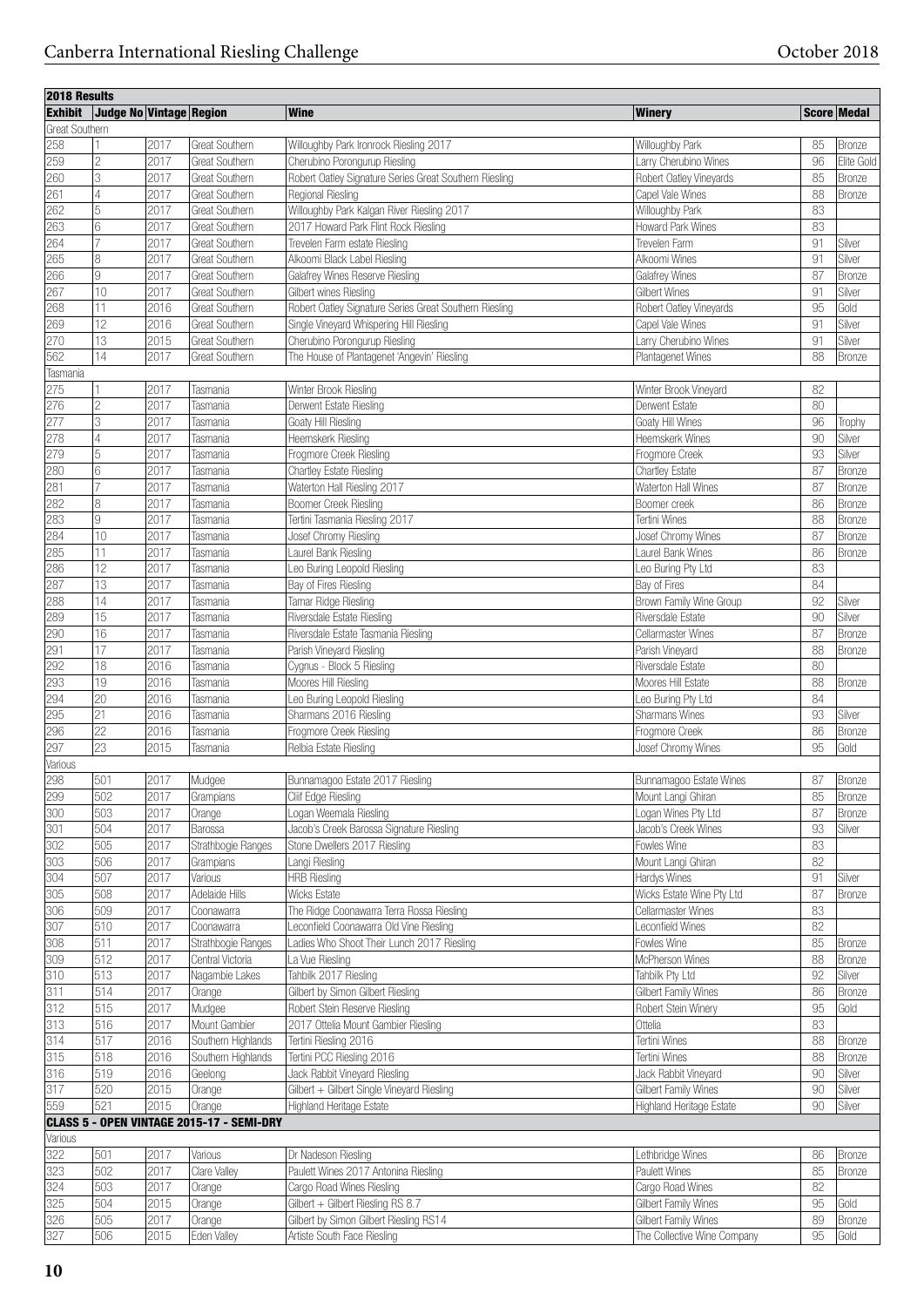| 2018 Results          |                         |      |                                           |                                                        |                                                     |          |               |
|-----------------------|-------------------------|------|-------------------------------------------|--------------------------------------------------------|-----------------------------------------------------|----------|---------------|
| <b>Exhibit</b>        | Judge No Vintage Region |      |                                           | <b>Wine</b>                                            | <b>Winery</b>                                       |          | Score Medal   |
| <b>Great Southern</b> |                         |      |                                           |                                                        |                                                     |          |               |
| 258                   |                         | 2017 | <b>Great Southern</b>                     | Willoughby Park Ironrock Riesling 2017                 | Willoughby Park                                     | 85       | Bronze        |
| 259                   | $\overline{c}$          | 2017 | Great Southern                            | Cherubino Porongurup Riesling                          | Larry Cherubino Wines                               | 96       | Elite Gold    |
| 260                   | 3                       | 2017 | <b>Great Southern</b>                     | Robert Oatley Signature Series Great Southern Riesling | Robert Oatley Vineyards                             | 85       | Bronze        |
| 261                   | 4                       | 2017 | <b>Great Southern</b>                     | Regional Riesling                                      | Capel Vale Wines                                    | 88       | Bronze        |
| 262                   | 5                       | 2017 | Great Southern                            | Willoughby Park Kalgan River Riesling 2017             | Willoughby Park                                     | 83       |               |
| 263                   | 6                       | 2017 | Great Southern                            | 2017 Howard Park Flint Rock Riesling                   | Howard Park Wines                                   | 83       |               |
| 264                   | 7                       | 2017 | <b>Great Southern</b>                     | Trevelen Farm estate Riesling                          | Trevelen Farm                                       | 91       | Silver        |
| 265                   | 8                       | 2017 | Great Southern                            | Alkoomi Black Label Riesling                           | Alkoomi Wines                                       | 91       | Silver        |
| 266                   | 9                       | 2017 | Great Southern                            | Galafrey Wines Reserve Riesling                        | Galafrey Wines                                      | 87       | Bronze        |
| 267                   | 10                      | 2017 | Great Southern                            | Gilbert wines Riesling                                 | <b>Gilbert Wines</b>                                | 91       | Silver        |
| 268                   | 11                      | 2016 | <b>Great Southern</b>                     | Robert Oatley Signature Series Great Southern Riesling | Robert Oatley Vineyards                             | 95       | Gold          |
| 269                   | 12                      | 2016 | Great Southern                            | Single Vineyard Whispering Hill Riesling               | Capel Vale Wines                                    | 91       | Silver        |
| 270                   | 13                      | 2015 | Great Southern                            | Cherubino Porongurup Riesling                          | Larry Cherubino Wines                               | 91       | Silver        |
| 562                   | 14                      | 2017 | <b>Great Southern</b>                     | The House of Plantagenet 'Angevin' Riesling            | Plantagenet Wines                                   | 88       | Bronze        |
| Tasmania              |                         |      |                                           |                                                        |                                                     |          |               |
| 275                   |                         | 2017 | Tasmania                                  | Winter Brook Riesling                                  | Winter Brook Vineyard                               | 82       |               |
| 276                   | $\overline{2}$          | 2017 | Tasmania                                  | Derwent Estate Riesling                                | Derwent Estate                                      | 80       |               |
| 277                   | 3                       | 2017 | Tasmania                                  | Goaty Hill Riesling                                    | Goaty Hill Wines                                    | 96       | Trophy        |
| 278                   | 4                       | 2017 | Tasmania                                  | Heemskerk Riesling                                     | Heemskerk Wines                                     | 90       | Silver        |
| 279                   | 5                       | 2017 | Tasmania                                  | Frogmore Creek Riesling                                | Frogmore Creek                                      | 93       | Silver        |
| 280                   | 6                       | 2017 | Tasmania                                  | Chartley Estate Riesling                               | Chartley Estate                                     | 87       | Bronze        |
| 281                   |                         | 2017 | Tasmania                                  | Waterton Hall Riesling 2017                            | Waterton Hall Wines                                 | 87       | Bronze        |
| 282                   | 8                       | 2017 | Tasmania                                  | Boomer Creek Riesling                                  | Boomer creek                                        | 86       | Bronze        |
| 283                   | 9                       | 2017 | Tasmania                                  | Tertini Tasmania Riesling 2017                         | Tertini Wines                                       | 88       | Bronze        |
| 284                   | 10                      | 2017 | Tasmania                                  | Josef Chromy Riesling                                  | Josef Chromy Wines                                  | 87       | <b>Bronze</b> |
| 285                   | 11                      | 2017 | Tasmania                                  | Laurel Bank Riesling                                   | Laurel Bank Wines                                   | 86       | <b>Bronze</b> |
| 286                   | 12                      | 2017 | Tasmania                                  | Leo Buring Leopold Riesling                            | Leo Buring Pty Ltd                                  | 83       |               |
| 287                   | 13                      | 2017 | Tasmania                                  | Bay of Fires Riesling                                  | Bay of Fires                                        | 84       |               |
| 288                   | 14                      | 2017 | Tasmania                                  | Tamar Ridge Riesling                                   | Brown Family Wine Group                             | 92       | Silver        |
| 289                   | 15                      | 2017 | Tasmania                                  | Riversdale Estate Riesling                             | Riversdale Estate                                   | 90       | Silver        |
| 290                   | 16                      | 2017 | Tasmania                                  | Riversdale Estate Tasmania Riesling                    | Cellarmaster Wines                                  | 87       | Bronze        |
| 291                   | 17                      | 2017 | Tasmania                                  | Parish Vineyard Riesling                               | Parish Vineyard                                     | 88       | <b>Bronze</b> |
| 292                   | 18                      | 2016 | Tasmania                                  | Cygnus - Block 5 Riesling                              | Riversdale Estate                                   | 80       |               |
| 293                   | 19                      | 2016 | Tasmania                                  | Moores Hill Riesling                                   | Moores Hill Estate                                  | 88       | Bronze        |
| 294                   | 20                      | 2016 | Tasmania                                  | Leo Buring Leopold Riesling                            | Leo Buring Pty Ltd                                  | 84       |               |
| 295                   | 21                      | 2016 | Tasmania                                  | Sharmans 2016 Riesling                                 | Sharmans Wines                                      | 93       | Silver        |
| 296                   | $\overline{22}$         | 2016 | Tasmania                                  | Frogmore Creek Riesling                                | Frogmore Creek                                      | 86       | Bronze        |
| 297                   | $\overline{23}$         | 2015 | Tasmania                                  | Relbia Estate Riesling                                 | Josef Chromy Wines                                  | 95       | Gold          |
| Various               |                         |      |                                           |                                                        |                                                     |          |               |
| 298                   | 501                     | 2017 | Mudgee                                    | Bunnamagoo Estate 2017 Riesling                        | Bunnamagoo Estate Wines                             | 87       | Bronze        |
| 299                   | 502                     | 2017 | Grampians                                 | Cliif Edge Riesling                                    | Mount Langi Ghiran                                  | 85       | Bronze        |
| 300                   | 503                     | 2017 | Orange                                    | Logan Weemala Riesling                                 | Logan Wines Pty Ltd                                 | 87       | Bronze        |
| 301                   | 504                     | 2017 | Barossa                                   | Jacob's Creek Barossa Signature Riesling               | Jacob's Creek Wines                                 | 93       | Silver        |
| 302                   | 505                     | 2017 | Strathbogie Ranges                        | Stone Dwellers 2017 Riesling                           | Fowles Wine                                         | 83       |               |
| 303                   | 506                     | 2017 | Grampians                                 | Langi Riesling                                         | Mount Langi Ghiran                                  | 82       |               |
| 304                   | 507                     | 2017 | Various                                   | <b>HRB Riesling</b>                                    | Hardys Wines                                        | 91       | Silver        |
| 305                   | 508                     | 2017 | Adelaide Hills                            | <b>Wicks Estate</b>                                    | Wicks Estate Wine Pty Ltd                           | 87       | Bronze        |
| 306                   | 509                     | 2017 | Coonawarra                                | The Ridge Coonawarra Terra Rossa Riesling              | Cellarmaster Wines                                  | 83       |               |
| 307                   | 510                     | 2017 | Coonawarra                                | Leconfield Coonawarra Old Vine Riesling                | Leconfield Wines                                    | 82       |               |
| 308                   | 511                     | 2017 | Strathbogie Ranges                        | Ladies Who Shoot Their Lunch 2017 Riesling             | Fowles Wine                                         | 85       | Bronze        |
| 309                   | $\overline{512}$        | 2017 | Central Victoria                          | La Vue Riesling                                        | McPherson Wines                                     | 88       | Bronze        |
| 310                   | 513                     | 2017 | Nagambie Lakes                            | Tahbilk 2017 Riesling                                  | Tahbilk Pty Ltd                                     | 92       | Silver        |
| 311                   | 514                     | 2017 | Orange                                    | Gilbert by Simon Gilbert Riesling                      | Gilbert Family Wines                                | 86       | Bronze        |
| 312                   | 515                     | 2017 | Mudgee                                    | Robert Stein Reserve Riesling                          | Robert Stein Winery                                 | 95       | Gold          |
| 313                   | 516                     | 2017 | Mount Gambier                             | 2017 Ottelia Mount Gambier Riesling                    | Ottelia                                             | 83       |               |
| 314                   | 517                     | 2016 | Southern Highlands                        | Tertini Riesling 2016                                  | Tertini Wines                                       | 88       | Bronze        |
| 315                   | 518                     | 2016 | Southern Highlands                        | Tertini PCC Riesling 2016                              | Tertini Wines                                       | 88       | Bronze        |
| 316                   | 519                     | 2016 | Geelong                                   | Jack Rabbit Vineyard Riesling                          | Jack Rabbit Vineyard                                | 90       | Silver        |
| 317                   | 520                     | 2015 | Orange                                    | Gilbert + Gilbert Single Vineyard Riesling             | <b>Gilbert Family Wines</b>                         | 90       | Silver        |
| 559                   | 521                     | 2015 | Orange                                    | Highland Heritage Estate                               | Highland Heritage Estate                            | 90       | Silver        |
|                       |                         |      | CLASS 5 - OPEN VINTAGE 2015-17 - SEMI-DRY |                                                        |                                                     |          |               |
| Various               |                         |      |                                           |                                                        |                                                     |          |               |
| 322                   | 501                     | 2017 | Various                                   | Dr Nadeson Riesling                                    | Lethbridge Wines                                    | 86       | Bronze        |
| 323                   | 502                     | 2017 | Clare Valley                              | Paulett Wines 2017 Antonina Riesling                   | Paulett Wines                                       | 85       | Bronze        |
| 324                   | 503                     | 2017 | Orange                                    | Cargo Road Wines Riesling                              | Cargo Road Wines                                    | 82       |               |
| 325                   | 504                     | 2015 | Orange                                    | Gilbert + Gilbert Riesling RS 8.7                      | Gilbert Family Wines                                | 95       | Gold          |
| 326<br>327            | 505<br>506              | 2017 | Orange                                    | Gilbert by Simon Gilbert Riesling RS14                 | Gilbert Family Wines<br>The Collective Wine Company | 89<br>95 | Bronze        |
|                       |                         | 2015 | Eden Valley                               | Artiste South Face Riesling                            |                                                     |          | Gold          |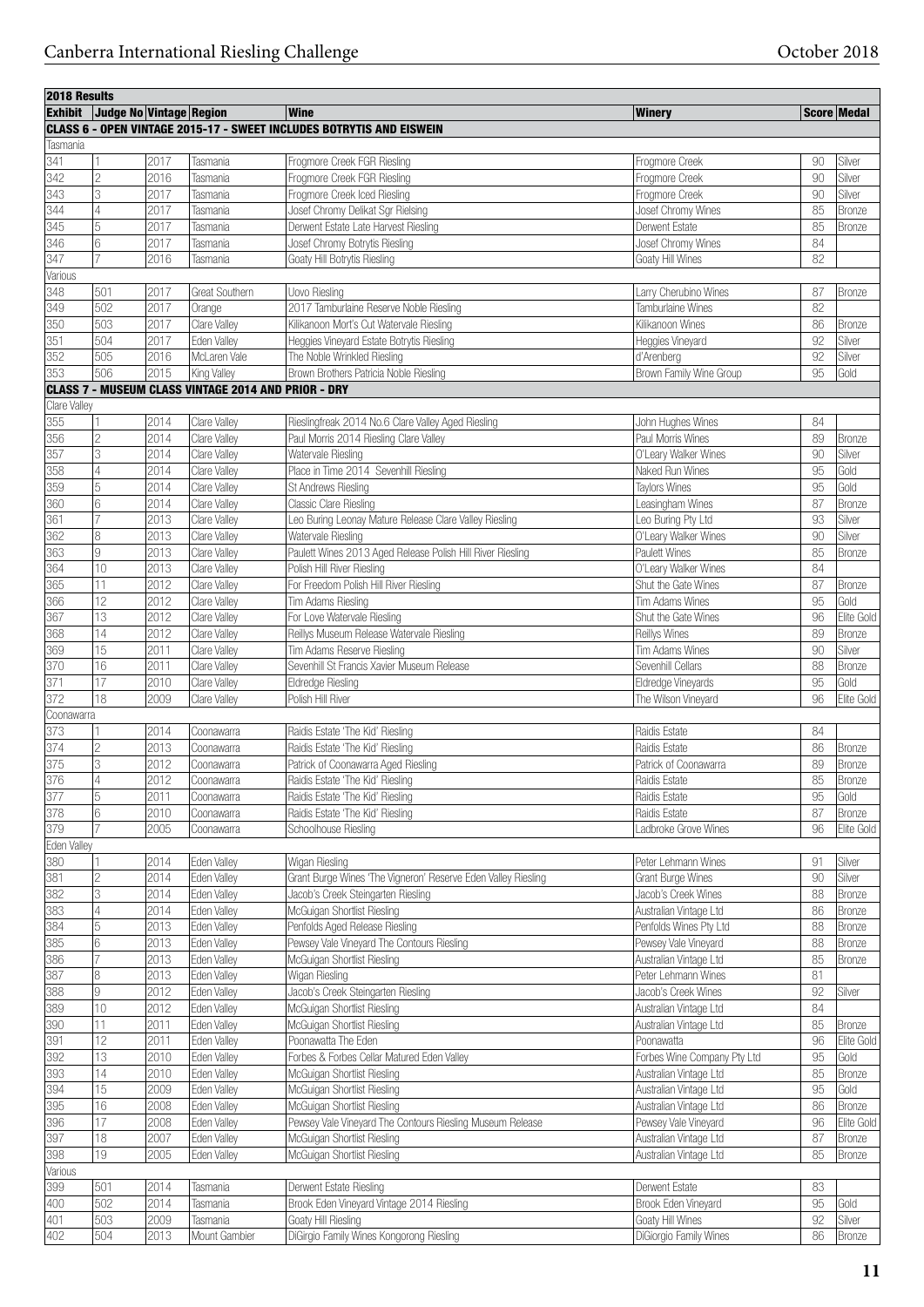| 2018 Results |                                 |      |                                                            |                                                                             |                             |        |               |
|--------------|---------------------------------|------|------------------------------------------------------------|-----------------------------------------------------------------------------|-----------------------------|--------|---------------|
|              | Exhibit Judge No Vintage Region |      |                                                            | Wine                                                                        | <b>Winery</b>               |        | Score Medal   |
|              |                                 |      |                                                            | <b>CLASS 6 - OPEN VINTAGE 2015-17 - SWEET INCLUDES BOTRYTIS AND EISWEIN</b> |                             |        |               |
| Tasmania     |                                 |      |                                                            |                                                                             |                             |        |               |
| 341          | 11                              | 2017 | Tasmania                                                   | Frogmore Creek FGR Riesling                                                 | Frogmore Creek              | 90     | Silver        |
| 342          | 2                               | 2016 | Tasmania                                                   | Frogmore Creek FGR Riesling                                                 | Frogmore Creek              | 90     | Silver        |
| 343          | 3                               | 2017 | Tasmania                                                   | Frogmore Creek Iced Riesling                                                | Frogmore Creek              | 90     | Silver        |
| 344          | 4                               | 2017 | Tasmania                                                   | Josef Chromy Delikat Sgr Rielsing                                           | Josef Chromy Wines          | 85     | Bronze        |
| 345          | 5                               | 2017 | Tasmania                                                   | Derwent Estate Late Harvest Riesling                                        | Derwent Estate              | 85     | <b>Bronze</b> |
| 346<br>347   | 6                               | 2017 | Tasmania                                                   | Josef Chromy Botrytis Riesling                                              | Josef Chromy Wines          | 84     |               |
| Various      |                                 | 2016 | Tasmania                                                   | Goaty Hill Botrytis Riesling                                                | Goaty Hill Wines            | 82     |               |
| 348          | 501                             | 2017 | Great Southern                                             | Uovo Riesling                                                               | Larry Cherubino Wines       | 87     | <b>Bronze</b> |
| 349          | 502                             | 2017 | Orange                                                     | 2017 Tamburlaine Reserve Noble Riesling                                     | Tamburlaine Wines           | 82     |               |
| 350          | 503                             | 2017 | Clare Valley                                               | Kilikanoon Mort's Cut Watervale Riesling                                    | Kilikanoon Wines            | 86     | <b>Bronze</b> |
| 351          | 504                             | 2017 | Eden Valley                                                | Heggies Vineyard Estate Botrytis Riesling                                   | Heggies Vineyard            | 92     | Silver        |
| 352          | 505                             | 2016 | McLaren Vale                                               | The Noble Wrinkled Riesling                                                 | d'Arenberg                  | 92     | Silver        |
| 353          | 506                             | 2015 | King Valley                                                | Brown Brothers Patricia Noble Riesling                                      | Brown Family Wine Group     | 95     | Gold          |
|              |                                 |      | <b>CLASS 7 - MUSEUM CLASS VINTAGE 2014 AND PRIOR - DRY</b> |                                                                             |                             |        |               |
| Clare Valley |                                 |      |                                                            |                                                                             |                             |        |               |
| 355          | 11                              | 2014 | Clare Valley                                               | Rieslingfreak 2014 No.6 Clare Valley Aged Riesling                          | John Hughes Wines           | 84     |               |
| 356          | $\overline{2}$                  | 2014 | Clare Valley                                               | Paul Morris 2014 Riesling Clare Valley                                      | Paul Morris Wines           | 89     | Bronze        |
| 357          | 3                               | 2014 | Clare Valley                                               | Watervale Riesling                                                          | O'Leary Walker Wines        | 90     | Silver        |
| 358          | 14                              | 2014 | Clare Valley                                               | Place in Time 2014 Sevenhill Riesling                                       | Naked Run Wines             | 95     | Gold          |
| 359          | 5                               | 2014 | Clare Valley                                               | St Andrews Riesling                                                         | <b>Taylors Wines</b>        | 95     | Gold          |
| 360          | 6                               | 2014 | Clare Valley                                               | Classic Clare Riesling                                                      | Leasingham Wines            | 87     | Bronze        |
| 361          | $\overline{7}$                  | 2013 | Clare Valley                                               | Leo Buring Leonay Mature Release Clare Valley Riesling                      | Leo Buring Pty Ltd          | 93     | Silver        |
| 362          | 8                               | 2013 | Clare Valley                                               | Watervale Riesling                                                          | O'Leary Walker Wines        | 90     | Silver        |
| 363          | 9                               | 2013 | Clare Valley                                               | Paulett Wines 2013 Aged Release Polish Hill River Riesling                  | Paulett Wines               | 85     | Bronze        |
| 364          | 10                              | 2013 | Clare Valley                                               | Polish Hill River Riesling                                                  | O'Leary Walker Wines        | 84     |               |
| 365          | 11                              | 2012 | Clare Valley                                               | For Freedom Polish Hill River Riesling                                      | Shut the Gate Wines         | 87     | Bronze        |
| 366          | 12                              | 2012 | Clare Valley                                               | Tim Adams Riesling                                                          | <b>Tim Adams Wines</b>      | 95     | Gold          |
| 367          | 13                              | 2012 | Clare Valley                                               | For Love Watervale Riesling                                                 | Shut the Gate Wines         | 96     | Elite Gold    |
| 368          | 14                              | 2012 | Clare Valley                                               | Reillys Museum Release Watervale Riesling                                   | Reillys Wines               | 89     | Bronze        |
| 369          | 15                              | 2011 | Clare Valley                                               | Tim Adams Reserve Riesling                                                  | Tim Adams Wines             | 90     | Silver        |
| 370          | 16                              | 2011 | Clare Valley                                               | Sevenhill St Francis Xavier Museum Release                                  | Sevenhill Cellars           | 88     | Bronze        |
| 371          | 17                              | 2010 | Clare Valley                                               | Eldredge Riesling                                                           | Eldredge Vineyards          | 95     | Gold          |
| 372          | 18                              | 2009 | Clare Valley                                               | Polish Hill River                                                           | The Wilson Vineyard         | 96     | Elite Gold    |
| Coonawarra   |                                 |      |                                                            |                                                                             |                             |        |               |
| 373          | $\overline{1}$                  | 2014 | Coonawarra                                                 | Raidis Estate 'The Kid' Riesling                                            | Raidis Estate               | 84     |               |
| 374          | 2                               | 2013 | Coonawarra                                                 | Raidis Estate 'The Kid' Riesling                                            | Raidis Estate               | 86     | <b>Bronze</b> |
| 375          | 3                               | 2012 | Coonawarra                                                 | Patrick of Coonawarra Aged Riesling                                         | Patrick of Coonawarra       | 89     | <b>Bronze</b> |
| 376          | 4                               | 2012 | Coonawarra                                                 | Raidis Estate 'The Kid' Riesling                                            | Raidis Estate               | 85     | Bronze        |
| 377          | 5                               | 2011 | Coonawarra                                                 | Raidis Estate 'The Kid' Riesling                                            | Raidis Estate               | 95     | Gold          |
| 378          | 6                               | 2010 | Coonawarra                                                 | Raidis Estate 'The Kid' Riesling                                            | Raidis Estate               | 87     | Bronze        |
| 379          | 17                              | 2005 | Coonawarra                                                 | Schoolhouse Riesling                                                        | Ladbroke Grove Wines        | 96     | Elite Gold    |
| Eden Valley  |                                 |      |                                                            |                                                                             |                             |        |               |
| 380          |                                 | 2014 | Eden Valley                                                | Wigan Riesling                                                              | Peter Lehmann Wines         | 91     | Silver        |
| 381          | $\overline{c}$                  | 2014 | Eden Valley                                                | Grant Burge Wines 'The Vigneron' Reserve Eden Valley Riesling               | Grant Burge Wines           | 90     | Silver        |
| 382          | 3                               | 2014 | Eden Valley                                                | Jacob's Creek Steingarten Riesling                                          | Jacob's Creek Wines         | 88     | Bronze        |
| 383          | $\vert 4 \vert$                 | 2014 | Eden Valley                                                | McGuigan Shortlist Riesling                                                 | Australian Vintage Ltd      | 86     | Bronze        |
| 384          | $\sqrt{5}$                      | 2013 | Eden Valley                                                | Penfolds Aged Release Riesling                                              | Penfolds Wines Pty Ltd      | 88     | Bronze        |
| 385          | 6                               | 2013 | Eden Valley                                                | Pewsey Vale Vineyard The Contours Riesling                                  | Pewsey Vale Vineyard        | 88     | Bronze        |
| 386          | 17                              | 2013 | Eden Valley                                                | McGuigan Shortlist Riesling                                                 | Australian Vintage Ltd      | 85     | Bronze        |
| 387          | 8                               | 2013 | Eden Valley                                                | Wigan Riesling                                                              | Peter Lehmann Wines         | 81     |               |
| 388          | l9                              | 2012 | Eden Valley                                                | Jacob's Creek Steingarten Riesling                                          | Jacob's Creek Wines         | 92     | Silver        |
| 389          | 10                              | 2012 | Eden Valley                                                | McGuigan Shortlist Riesling                                                 | Australian Vintage Ltd      | 84     |               |
| 390          | 11                              | 2011 | Eden Valley                                                | McGuigan Shortlist Riesling                                                 | Australian Vintage Ltd      | 85     | Bronze        |
| 391          | 12                              | 2011 | Eden Valley                                                | Poonawatta The Eden                                                         | Poonawatta                  | 96     | Elite Gold    |
| 392          | 13                              | 2010 | Eden Valley                                                | Forbes & Forbes Cellar Matured Eden Valley                                  | Forbes Wine Company Pty Ltd | 95     | Gold          |
| 393          | 14                              | 2010 | Eden Valley                                                | McGuigan Shortlist Riesling                                                 | Australian Vintage Ltd      | 85     | Bronze        |
| 394          | 15                              | 2009 | Eden Valley                                                | McGuigan Shortlist Riesling                                                 | Australian Vintage Ltd      | 95     | Gold          |
| 395          | 16                              | 2008 | Eden Valley                                                | McGuigan Shortlist Riesling                                                 | Australian Vintage Ltd      | 86     | Bronze        |
| 396          | 17                              | 2008 | Eden Valley                                                | Pewsey Vale Vineyard The Contours Riesling Museum Release                   | Pewsey Vale Vineyard        | 96     | Elite Gold    |
| 397          | 18                              | 2007 | Eden Valley                                                | McGuigan Shortlist Riesling                                                 | Australian Vintage Ltd      | 87     | <b>Bronze</b> |
| 398          | 19                              | 2005 | Eden Valley                                                | McGuigan Shortlist Riesling                                                 | Australian Vintage Ltd      | 85     | <b>Bronze</b> |
| Various      |                                 |      |                                                            |                                                                             |                             |        |               |
| 399          | 501                             | 2014 | Tasmania                                                   | Derwent Estate Riesling                                                     | Derwent Estate              | 83     |               |
| 400          | 502                             | 2014 | Tasmania                                                   | Brook Eden Vineyard Vintage 2014 Riesling                                   | Brook Eden Vineyard         | 95     | Gold          |
| 401          | 503                             | 2009 | Tasmania                                                   | Goaty Hill Riesling                                                         | Goaty Hill Wines            | $92\,$ | Silver        |
| 402          | 504                             | 2013 | Mount Gambier                                              | DiGirgio Family Wines Kongorong Riesling                                    | DiGiorgio Family Wines      | 86     | Bronze        |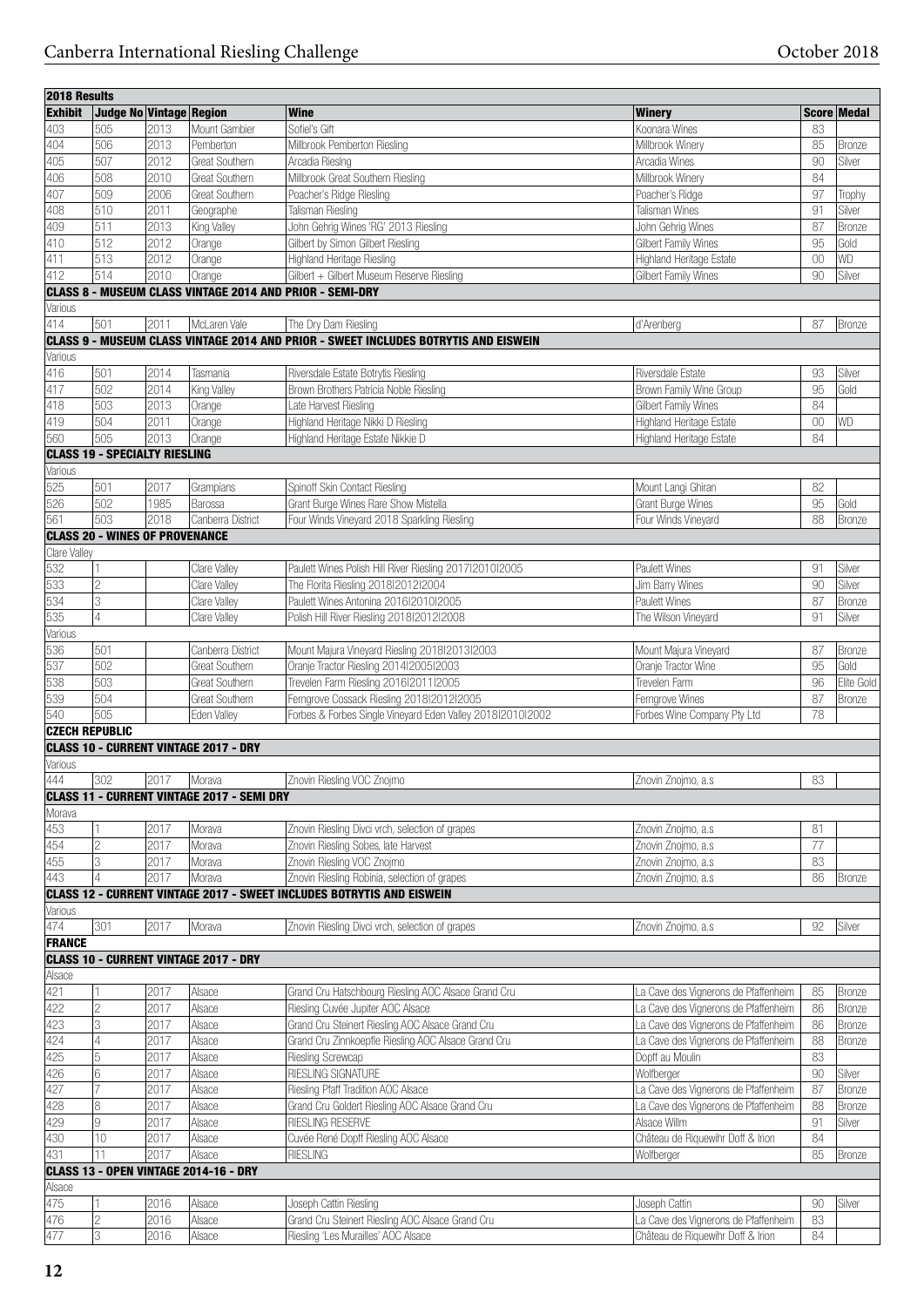| 2018 Results          |                                       |      |                                                   |                                                                                            |                                      |        |                    |
|-----------------------|---------------------------------------|------|---------------------------------------------------|--------------------------------------------------------------------------------------------|--------------------------------------|--------|--------------------|
| <b>Exhibit</b>        | <b>Judge No Vintage Region</b>        |      |                                                   | Wine<br><b>Winery</b>                                                                      |                                      |        | <b>Score Medal</b> |
| 403                   | 505                                   | 2013 | Mount Gambier                                     | Sofiel's Gift<br>Koonara Wines                                                             |                                      | 83     |                    |
| 404                   | 506                                   | 2013 | Pemberton                                         | Millbrook Pemberton Riesling<br>Millbrook Winery                                           |                                      | 85     | Bronze             |
| 405                   | 507                                   | 2012 | Great Southern                                    | Arcadia RiesIng<br>Arcadia Wines                                                           |                                      | 90     | Silver             |
| 406                   | 508                                   | 2010 | <b>Great Southern</b>                             | Millbrook Great Southern Riesling<br>Millbrook Winery                                      |                                      | 84     |                    |
| 407                   | 509                                   | 2006 | <b>Great Southern</b>                             | Poacher's Ridge Riesling<br>Poacher's Ridge                                                |                                      | 97     | Trophy             |
| 408                   | 510                                   | 2011 | Geographe                                         | Talisman Wines<br><b>Talisman Riesling</b>                                                 |                                      | 91     | Silver             |
| 409                   | 511                                   | 2013 | King Valley                                       | John Gehrig Wines 'RG' 2013 Riesling<br>John Gehrig Wines                                  |                                      | 87     | <b>Bronze</b>      |
|                       |                                       |      |                                                   |                                                                                            |                                      |        |                    |
| 410                   | 512                                   | 2012 | Orange                                            | Gilbert by Simon Gilbert Riesling<br>Gilbert Family Wines                                  |                                      | 95     | Gold               |
| 411                   | 513                                   | 2012 | Orange                                            | Highland Heritage Riesling                                                                 | Highland Heritage Estate             | $00\,$ | WD                 |
| 412                   | 514                                   | 2010 | Orange                                            | Gilbert + Gilbert Museum Reserve Riesling<br>Gilbert Family Wines                          |                                      | 90     | Silver             |
|                       |                                       |      |                                                   | <b>CLASS 8 - MUSEUM CLASS VINTAGE 2014 AND PRIOR - SEMI-DRY</b>                            |                                      |        |                    |
| Various               |                                       |      |                                                   |                                                                                            |                                      |        |                    |
| 414                   | 501                                   | 2011 | McLaren Vale                                      | d'Arenberg<br>The Dry Dam Riesling                                                         |                                      | 87     | <b>Bronze</b>      |
|                       |                                       |      |                                                   | <b>CLASS 9 - MUSEUM CLASS VINTAGE 2014 AND PRIOR - SWEET INCLUDES BOTRYTIS AND EISWEIN</b> |                                      |        |                    |
| Various               |                                       |      |                                                   |                                                                                            |                                      |        |                    |
| 416                   | 501                                   | 2014 | Tasmania                                          | Riversdale Estate Botrytis Riesling<br>Riversdale Estate                                   |                                      | 93     | Silver             |
| 417                   | 502                                   | 2014 | King Valley                                       | Brown Brothers Patricia Noble Riesling                                                     | Brown Family Wine Group              | 95     | Gold               |
| 418                   | 503                                   | 2013 | Orange                                            | Late Harvest Riesling<br>Gilbert Family Wines                                              |                                      | 84     |                    |
| 419                   | 504                                   | 2011 | Orange                                            | Highland Heritage Nikki D Riesling                                                         | Highland Heritage Estate             | 00     | WD                 |
| 560                   | 505                                   | 2013 |                                                   |                                                                                            |                                      | 84     |                    |
|                       |                                       |      | Orange                                            | Highland Heritage Estate Nikkie D                                                          | Highland Heritage Estate             |        |                    |
|                       | <b>CLASS 19 - SPECIALTY RIESLING</b>  |      |                                                   |                                                                                            |                                      |        |                    |
| Various               |                                       |      |                                                   |                                                                                            |                                      |        |                    |
| 525                   | 501                                   | 2017 | Grampians                                         | Spinoff Skin Contact Riesling<br>Mount Langi Ghiran                                        |                                      | 82     |                    |
| 526                   | 502                                   | 1985 | Barossa                                           | Grant Burge Wines Rare Show Mistella<br>Grant Burge Wines                                  |                                      | 95     | Gold               |
| 561                   | 503                                   | 2018 | Canberra District                                 | Four Winds Vineyard 2018 Sparkling Riesling                                                | Four Winds Vineyard                  | 88     | <b>Bronze</b>      |
|                       | <b>CLASS 20 - WINES OF PROVENANCE</b> |      |                                                   |                                                                                            |                                      |        |                    |
| Clare Valley          |                                       |      |                                                   |                                                                                            |                                      |        |                    |
| 532                   |                                       |      | Clare Valley                                      | Paulett Wines Polish Hill River Riesling 2017/2010/2005<br>Paulett Wines                   |                                      | 91     | Silver             |
| 533                   | $\overline{c}$                        |      | Clare Valley                                      | The Florita Riesling 2018/2012/2004<br>Jim Barry Wines                                     |                                      | $90\,$ | Silver             |
| 534                   | 3                                     |      | Clare Valley                                      | Paulett Wines Antonina 2016 2010 2005<br>Paulett Wines                                     |                                      | 87     | Bronze             |
| 535                   | $\overline{4}$                        |      | Clare Valley                                      | Polish Hill River Riesling 2018/2012/2008                                                  | The Wilson Vineyard                  | 91     | Silver             |
| Various               |                                       |      |                                                   |                                                                                            |                                      |        |                    |
|                       | 501                                   |      |                                                   |                                                                                            |                                      |        |                    |
| 536                   |                                       |      | Canberra District                                 | Mount Majura Vineyard Riesling 2018/2013/2003                                              | Mount Majura Vineyard                | 87     | Bronze             |
| 537                   | 502                                   |      | <b>Great Southern</b>                             | Oranje Tractor Riesling 2014/2005/2003<br>Oranje Tractor Wine                              |                                      | 95     | Gold               |
| 538                   | 503                                   |      | <b>Great Southern</b>                             | Trevelen Farm Riesling 2016/2011/2005<br>Trevelen Farm                                     |                                      | 96     | Elite Gold         |
| 539                   | 504                                   |      | Great Southern                                    | Ferngrove Cossack Riesling 2018I2012I2005<br>Ferngrove Wines                               |                                      | 87     | Bronze             |
| 540                   | 505                                   |      | Eden Vallev                                       | Forbes & Forbes Single Vineyard Eden Valley 20181201012002                                 | Forbes Wine Company Pty Ltd          | 78     |                    |
| <b>CZECH REPUBLIC</b> |                                       |      |                                                   |                                                                                            |                                      |        |                    |
|                       |                                       |      | <b>CLASS 10 - CURRENT VINTAGE 2017 - DRY</b>      |                                                                                            |                                      |        |                    |
| Various               |                                       |      |                                                   |                                                                                            |                                      |        |                    |
| 444                   | 302                                   | 2017 | Morava                                            | Znovin Riesling VOC Znojmo<br>Znovin Znojmo, a.s                                           |                                      | 83     |                    |
|                       |                                       |      | <b>CLASS 11 - CURRENT VINTAGE 2017 - SEMI DRY</b> |                                                                                            |                                      |        |                    |
| Morava                |                                       |      |                                                   |                                                                                            |                                      |        |                    |
| 453                   |                                       | 2017 | Morava                                            | Znovin Riesling Divci vrch, selection of grapes<br>Znovin Znojmo, a.s                      |                                      | 81     |                    |
| 454                   | $\overline{2}$                        | 2017 | Morava                                            | Znovin Riesling Sobes, late Harvest                                                        |                                      | 77     |                    |
|                       |                                       |      |                                                   | Znovin Znojmo, a.s                                                                         |                                      | 83     |                    |
| 455                   | 3                                     | 2017 | Morava                                            | Znovin Riesling VOC Znojmo<br>Znovin Znojmo, a.s                                           |                                      |        |                    |
| 443                   | $\overline{4}$                        | 2017 | Morava                                            | Znovin Riesling Robinia, selection of grapes<br>Znovin Znojmo, a.s                         |                                      | 86     | Bronze             |
|                       |                                       |      |                                                   | CLASS 12 - CURRENT VINTAGE 2017 - SWEET INCLUDES BOTRYTIS AND EISWEIN                      |                                      |        |                    |
| Various               |                                       |      |                                                   |                                                                                            |                                      |        |                    |
| 474                   | 301                                   | 2017 | Morava                                            | Znovin Riesling Divci vrch, selection of grapes<br>Znovin Znojmo, a.s                      |                                      | 92     | Silver             |
| FRANCE                |                                       |      |                                                   |                                                                                            |                                      |        |                    |
|                       |                                       |      | <b>CLASS 10 - CURRENT VINTAGE 2017 - DRY</b>      |                                                                                            |                                      |        |                    |
| Alsace                |                                       |      |                                                   |                                                                                            |                                      |        |                    |
| 421                   |                                       | 2017 | Alsace                                            | Grand Cru Hatschbourg Riesling AOC Alsace Grand Cru                                        | La Cave des Vignerons de Pfaffenheim | 85     | Bronze             |
| 422                   | $\overline{c}$                        | 2017 | Alsace                                            | Riesling Cuvée Jupiter AOC Alsace                                                          | La Cave des Vignerons de Pfaffenheim | 86     | Bronze             |
| 423                   | 3                                     | 2017 | Alsace                                            | Grand Cru Steinert Riesling AOC Alsace Grand Cru                                           | La Cave des Vignerons de Pfaffenheim | 86     | Bronze             |
| 424                   | 4                                     | 2017 |                                                   |                                                                                            |                                      | 88     |                    |
| 425                   | 5                                     | 2017 | Alsace                                            | Grand Cru Zinnkoepfle Riesling AOC Alsace Grand Cru                                        | La Cave des Vignerons de Pfaffenheim | 83     | <b>Bronze</b>      |
|                       |                                       |      | Alsace                                            | Riesling Screwcap<br>Dopff au Moulin                                                       |                                      |        |                    |
| 426                   | 6                                     | 2017 | Alsace                                            | <b>RIESLING SIGNATURE</b><br>Wolfberger                                                    |                                      | 90     | Silver             |
| 427                   | 7                                     | 2017 | Alsace                                            | Riesling Pfaff Tradition AOC Alsace                                                        | La Cave des Vignerons de Pfaffenheim | 87     | <b>Bronze</b>      |
| 428                   | 8                                     | 2017 | Alsace                                            | Grand Cru Goldert Riesling AOC Alsace Grand Cru                                            | La Cave des Vignerons de Pfaffenheim | 88     | Bronze             |
| 429                   | 9                                     | 2017 | Alsace                                            | RIESLING RESERVE<br>Alsace Willm                                                           |                                      | 91     | Silver             |
| 430                   | 10                                    | 2017 | Alsace                                            | Cuvée René Dopff Riesling AOC Alsace                                                       | Château de Riquewihr Doff & Irion    | 84     |                    |
| 431                   | 11                                    | 2017 | Alsace                                            | RIESLING<br>Wolfberger                                                                     |                                      | 85     | Bronze             |
|                       |                                       |      | CLASS 13 - OPEN VINTAGE 2014-16 - DRY             |                                                                                            |                                      |        |                    |
| Alsace                |                                       |      |                                                   |                                                                                            |                                      |        |                    |
| 475                   |                                       | 2016 | Alsace                                            | Joseph Cattin Riesling<br>Joseph Cattin                                                    |                                      | 90     | Silver             |
| 476                   |                                       | 2016 |                                                   | Grand Cru Steinert Riesling AOC Alsace Grand Cru                                           |                                      | 83     |                    |
|                       | $\overline{c}$                        |      | Alsace                                            |                                                                                            | La Cave des Vignerons de Pfaffenheim |        |                    |
| 477                   | 3                                     | 2016 | Alsace                                            | Riesling 'Les Murailles' AOC Alsace                                                        | Château de Riquewihr Doff & Irion    | 84     |                    |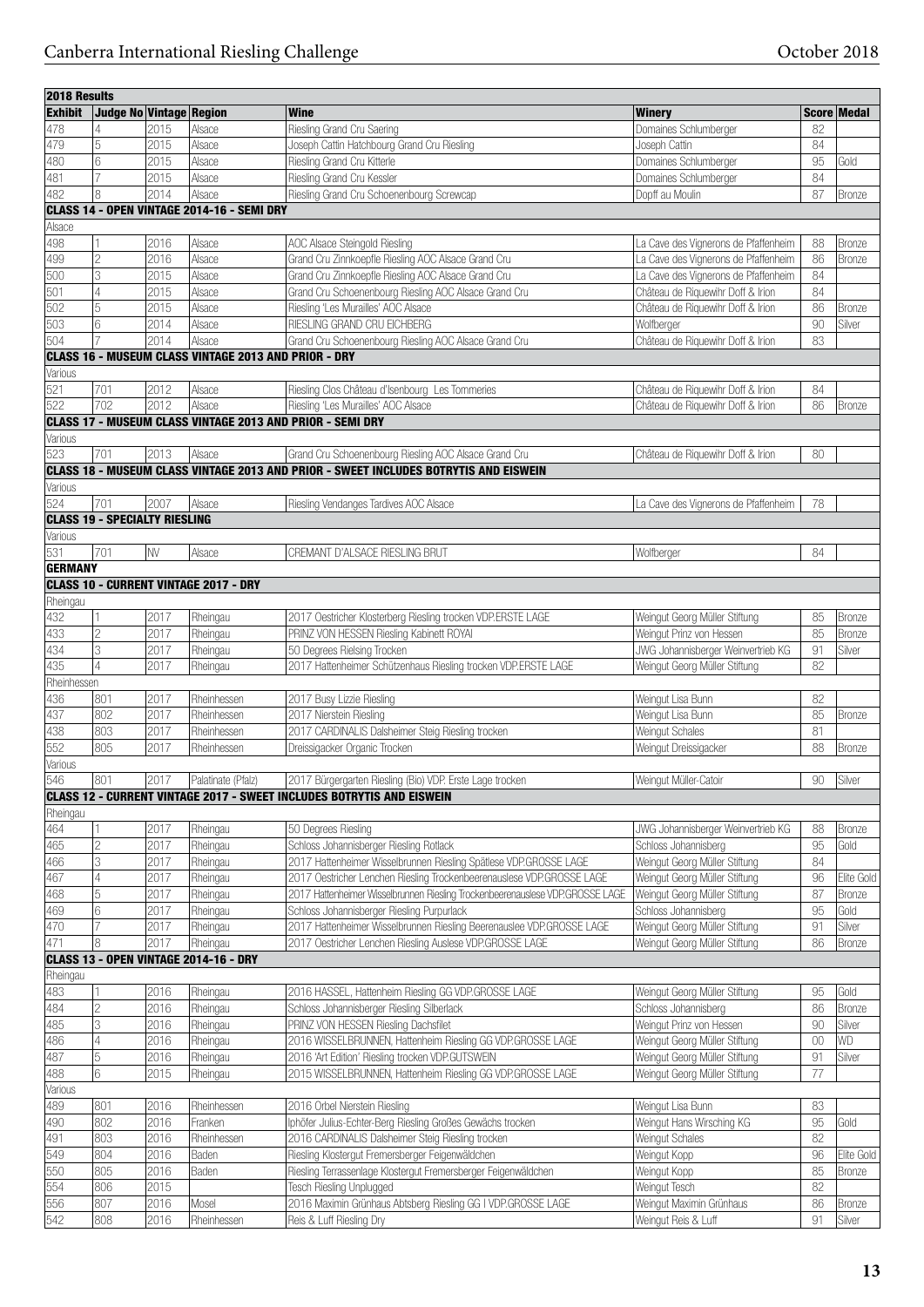| 2018 Results   |                                      |      |                                              |                                                                                             |                                      |        |               |
|----------------|--------------------------------------|------|----------------------------------------------|---------------------------------------------------------------------------------------------|--------------------------------------|--------|---------------|
| <b>Exhibit</b> | Judge No Vintage Region              |      |                                              | <b>Wine</b>                                                                                 | <b>Winery</b>                        |        | Score Medal   |
| 478            | 4                                    | 2015 | Alsace                                       | Riesling Grand Cru Saering                                                                  | Domaines Schlumberger                | 82     |               |
| 479            | 5                                    | 2015 | Alsace                                       | Joseph Cattin Hatchbourg Grand Cru Riesling                                                 | Joseph Cattin                        | 84     |               |
| 480            | 6                                    | 2015 | Alsace                                       | Riesling Grand Cru Kitterle                                                                 | Domaines Schlumberger                | 95     | Gold          |
| 481            | 7                                    | 2015 | Alsace                                       | Riesling Grand Cru Kessler                                                                  | Domaines Schlumberger                | 84     |               |
| 482            | 8                                    | 2014 | Alsace                                       | Riesling Grand Cru Schoenenbourg Screwcap                                                   | Dopff au Moulin                      | 87     | <b>Bronze</b> |
|                |                                      |      |                                              |                                                                                             |                                      |        |               |
|                |                                      |      | CLASS 14 - OPEN VINTAGE 2014-16 - SEMI DRY   |                                                                                             |                                      |        |               |
| Alsace         |                                      |      |                                              |                                                                                             |                                      |        |               |
| 498            |                                      | 2016 | Alsace                                       | AOC Alsace Steingold Riesling                                                               | La Cave des Vignerons de Pfaffenheim | 88     | Bronze        |
| 499            | $\overline{c}$                       | 2016 | Alsace                                       | Grand Cru Zinnkoepfle Riesling AOC Alsace Grand Cru                                         | La Cave des Vignerons de Pfaffenheim | 86     | Bronze        |
| 500            | 3                                    | 2015 | Alsace                                       | Grand Cru Zinnkoepfle Riesling AOC Alsace Grand Cru                                         | La Cave des Vignerons de Pfaffenheim | 84     |               |
| 501            | 4                                    | 2015 | Alsace                                       | Grand Cru Schoenenbourg Riesling AOC Alsace Grand Cru                                       | Château de Riquewihr Doff & Irion    | 84     |               |
| 502            | 5                                    | 2015 | Alsace                                       | Riesling 'Les Murailles' AOC Alsace                                                         | Château de Riquewihr Doff & Irion    | 86     | <b>Bronze</b> |
| 503            | 6                                    | 2014 | Alsace                                       | RIESLING GRAND CRU EICHBERG                                                                 | Wolfberger                           | 90     | Silver        |
| 504            |                                      | 2014 | Alsace                                       | Grand Cru Schoenenbourg Riesling AOC Alsace Grand Cru                                       | Château de Riquewihr Doff & Irion    | 83     |               |
|                |                                      |      |                                              |                                                                                             |                                      |        |               |
|                |                                      |      |                                              | CLASS 16 - MUSEUM CLASS VINTAGE 2013 AND PRIOR - DRY                                        |                                      |        |               |
| Various        |                                      |      |                                              |                                                                                             |                                      |        |               |
| 521            | 701                                  | 2012 | Alsace                                       | Riesling Clos Château d'Isenbourg Les Tommeries                                             | Château de Riquewihr Doff & Irion    | 84     |               |
| 522            | 702                                  | 2012 | Alsace                                       | Riesling 'Les Murailles' AOC Alsace                                                         | Château de Riguewihr Doff & Irion    | 86     | Bronze        |
|                |                                      |      |                                              | <b>CLASS 17 - MUSEUM CLASS VINTAGE 2013 AND PRIOR - SEMI DRY</b>                            |                                      |        |               |
| Various        |                                      |      |                                              |                                                                                             |                                      |        |               |
| 523            | 701                                  | 2013 | Alsace                                       | Grand Cru Schoenenbourg Riesling AOC Alsace Grand Cru                                       | Château de Riquewihr Doff & Irion    | 80     |               |
|                |                                      |      |                                              | <b>CLASS 18 - MUSEUM CLASS VINTAGE 2013 AND PRIOR - SWEET INCLUDES BOTRYTIS AND EISWEIN</b> |                                      |        |               |
| Various        |                                      |      |                                              |                                                                                             |                                      |        |               |
|                |                                      |      |                                              |                                                                                             |                                      |        |               |
| 524            | 701                                  | 2007 | Alsace                                       | Riesling Vendanges Tardives AOC Alsace                                                      | La Cave des Vignerons de Pfaffenheim | 78     |               |
|                | <b>CLASS 19 - SPECIALTY RIESLING</b> |      |                                              |                                                                                             |                                      |        |               |
| Various        |                                      |      |                                              |                                                                                             |                                      |        |               |
| 531            | 701                                  | NV   | Alsace                                       | CREMANT D'ALSACE RIESLING BRUT                                                              | Wolfberger                           | 84     |               |
| <b>GERMANY</b> |                                      |      |                                              |                                                                                             |                                      |        |               |
|                |                                      |      | <b>CLASS 10 - CURRENT VINTAGE 2017 - DRY</b> |                                                                                             |                                      |        |               |
| Rheingau       |                                      |      |                                              |                                                                                             |                                      |        |               |
| 432            |                                      | 2017 | Rheingau                                     | 2017 Oestricher Klosterberg Riesling trocken VDP.ERSTE LAGE                                 | Weingut Georg Müller Stiftung        | 85     | <b>Bronze</b> |
| 433            | $\overline{c}$                       | 2017 | Rheingau                                     | PRINZ VON HESSEN Riesling Kabinett ROYAL                                                    | Weingut Prinz von Hessen             | 85     | <b>Bronze</b> |
|                |                                      |      |                                              |                                                                                             |                                      |        |               |
| 434            | 3                                    | 2017 | Rheingau                                     | 50 Degrees Rielsing Trocken                                                                 | JWG Johannisberger Weinvertrieb KG   | 91     | Silver        |
| 435            | 4                                    | 2017 | Rheingau                                     | 2017 Hattenheimer Schützenhaus Riesling trocken VDP.ERSTE LAGE                              | Weingut Georg Müller Stiftung        | 82     |               |
| Rheinhessen    |                                      |      |                                              |                                                                                             |                                      |        |               |
| 436            | 801                                  | 2017 | Rheinhessen                                  | 2017 Busy Lizzie Riesling                                                                   | Weingut Lisa Bunn                    | 82     |               |
| 437            | 802                                  | 2017 | Rheinhessen                                  | 2017 Nierstein Riesling                                                                     | Weingut Lisa Bunn                    | 85     | Bronze        |
| 438            | 803                                  | 2017 | Rheinhessen                                  | 2017 CARDINALIS Dalsheimer Steig Riesling trocken                                           | Weingut Schales                      | 81     |               |
| 552            | 805                                  | 2017 | Rheinhessen                                  | Dreissigacker Organic Trocken                                                               | Weingut Dreissigacker                | 88     | Bronze        |
| Various        |                                      |      |                                              |                                                                                             |                                      |        |               |
|                |                                      |      |                                              |                                                                                             |                                      |        |               |
| 546            | 801                                  | 2017 | Palatinate (Pfalz)                           | 2017 Bürgergarten Riesling (Bio) VDP. Erste Lage trocken                                    | Weingut Müller-Catoir                | 90     | Silver        |
|                |                                      |      |                                              | CLASS 12 - CURRENT VINTAGE 2017 - SWEET INCLUDES BOTRYTIS AND EISWEIN                       |                                      |        |               |
| Rheingau       |                                      |      |                                              |                                                                                             |                                      |        |               |
| 464            |                                      | 2017 | Rheingau                                     | 50 Degrees Riesling                                                                         | JWG Johannisberger Weinvertrieb KG   | 88     | <b>Bronze</b> |
| 465            | $\overline{2}$                       | 2017 | Rheingau                                     | Schloss Johannisberger Riesling Rotlack                                                     | Schloss Johannisberg                 | 95     | Gold          |
| 466            | 3                                    | 2017 | Rheingau                                     | 2017 Hattenheimer Wisselbrunnen Riesling Spätlese VDP.GROSSE LAGE                           | Weingut Georg Müller Stiftung        | 84     |               |
| 467            | $\overline{4}$                       | 2017 | Rheingau                                     | 2017 Oestricher Lenchen Riesling Trockenbeerenauslese VDP.GROSSE LAGE                       | Weingut Georg Müller Stiftung        | 96     | Elite Gold    |
| 468            | 5                                    | 2017 | Rheingau                                     | 2017 Hattenheimer Wisselbrunnen Riesling Trockenbeerenauslese VDP.GROSSE LAGE               | Weingut Georg Müller Stiftung        | 87     | Bronze        |
|                | 6                                    |      |                                              |                                                                                             |                                      | 95     |               |
| 469            | 7                                    | 2017 | Rheingau                                     | Schloss Johannisberger Riesling Purpurlack                                                  | Schloss Johannisberg                 |        | Gold          |
| 470            |                                      | 2017 | Rheingau                                     | 2017 Hattenheimer Wisselbrunnen Riesling Beerenauslee VDP.GROSSE LAGE                       | Weingut Georg Müller Stiftung        | 91     | Silver        |
| 471            | 8                                    | 2017 | Rheingau                                     | 2017 Oestricher Lenchen Riesling Auslese VDP.GROSSE LAGE                                    | Weingut Georg Müller Stiftung        | 86     | Bronze        |
|                |                                      |      | CLASS 13 - OPEN VINTAGE 2014-16 - DRY        |                                                                                             |                                      |        |               |
| Rheingau       |                                      |      |                                              |                                                                                             |                                      |        |               |
| 483            |                                      | 2016 | Rheingau                                     | 2016 HASSEL, Hattenheim Riesling GG VDP.GROSSE LAGE                                         | Weingut Georg Müller Stiftung        | 95     | Gold          |
| 484            | 2                                    | 2016 | Rheingau                                     | Schloss Johannisberger Riesling Silberlack                                                  | Schloss Johannisberg                 | 86     | Bronze        |
| 485            | 3                                    | 2016 | Rheingau                                     | PRINZ VON HESSEN Riesling Dachsfilet                                                        | Weingut Prinz von Hessen             | $90\,$ | Silver        |
| 486            | 4                                    |      |                                              | 2016 WISSELBRUNNEN, Hattenheim Riesling GG VDP.GROSSE LAGE                                  |                                      | 00     | WD            |
|                |                                      | 2016 | Rheingau                                     |                                                                                             | Weingut Georg Müller Stiftung        |        |               |
| 487            | 5                                    | 2016 | Rheingau                                     | 2016 'Art Edition' Riesling trocken VDP.GUTSWEIN                                            | Weingut Georg Müller Stiftung        | 91     | Silver        |
| 488            | 6                                    | 2015 | Rheingau                                     | 2015 WISSELBRUNNEN, Hattenheim Riesling GG VDP.GROSSE LAGE                                  | Weingut Georg Müller Stiftung        | 77     |               |
| Various        |                                      |      |                                              |                                                                                             |                                      |        |               |
| 489            | 801                                  | 2016 | Rheinhessen                                  | 2016 Orbel Nierstein Riesling                                                               | Weingut Lisa Bunn                    | 83     |               |
| 490            | 802                                  | 2016 | Franken                                      | Iphöfer Julius-Echter-Berg Riesling Großes Gewächs trocken                                  | Weingut Hans Wirsching KG            | 95     | Gold          |
| 491            | 803                                  | 2016 | Rheinhessen                                  | 2016 CARDINALIS Dalsheimer Steig Riesling trocken                                           | Weingut Schales                      | 82     |               |
| 549            | 804                                  | 2016 | Baden                                        | Riesling Klostergut Fremersberger Feigenwäldchen                                            | Weingut Kopp                         | 96     | Elite Gold    |
|                |                                      |      |                                              |                                                                                             |                                      |        |               |
| 550            | 805                                  | 2016 | Baden                                        | Riesling Terrassenlage Klostergut Fremersberger Feigenwäldchen                              | Weingut Kopp                         | 85     | <b>Bronze</b> |
| 554            | 806                                  | 2015 |                                              | Tesch Riesling Unplugged                                                                    | Weingut Tesch                        | 82     |               |
| 556            | 807                                  | 2016 | Mosel                                        | 2016 Maximin Grünhaus Abtsberg Riesling GG I VDP.GROSSE LAGE                                | Weingut Maximin Grünhaus             | 86     | Bronze        |
| 542            | 808                                  | 2016 | Rheinhessen                                  | Reis & Luff Riesling Dry                                                                    | Weingut Reis & Luff                  | 91     | Silver        |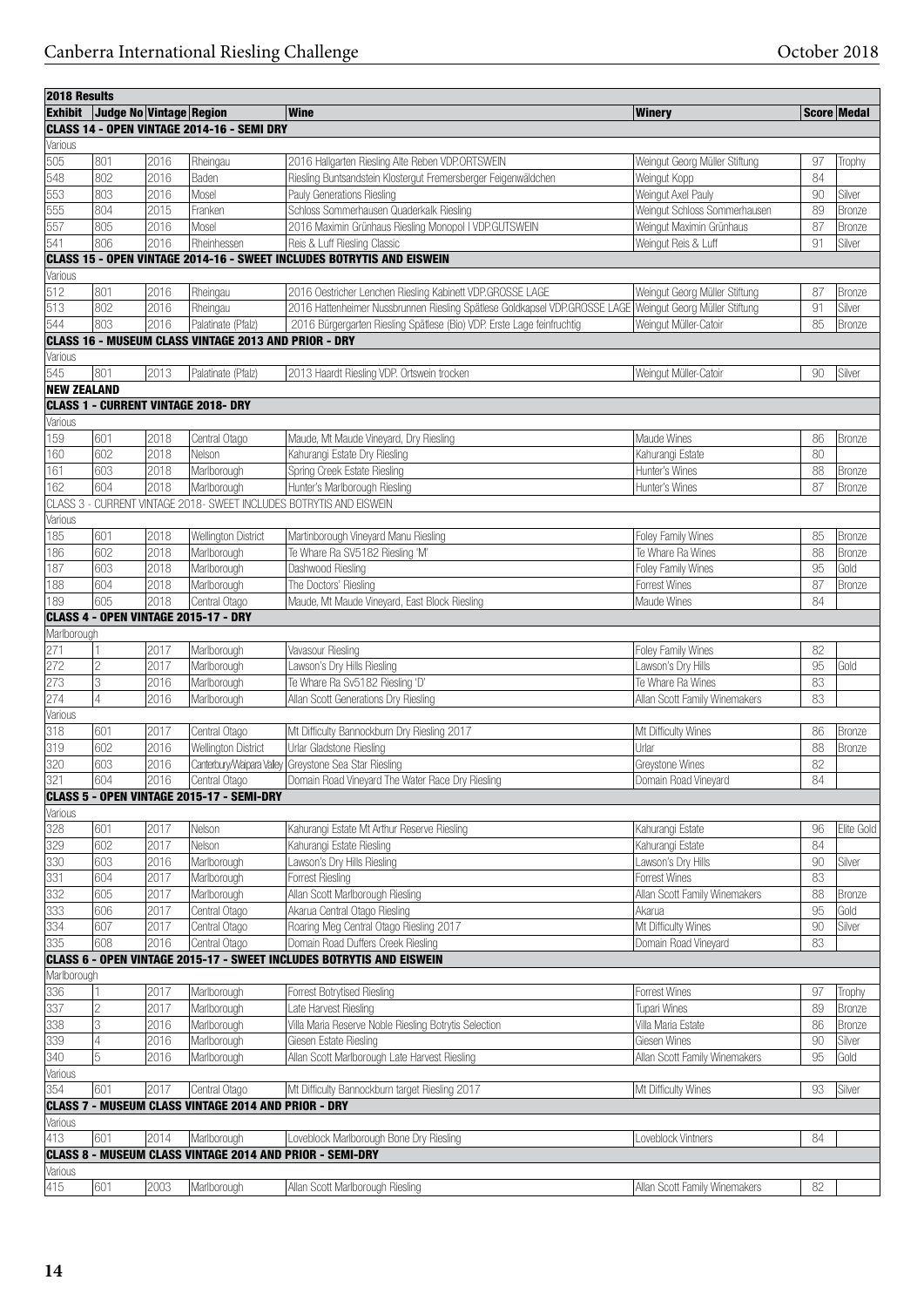| Exhibit Judge No Vintage Region<br>Score Medal<br><b>Winery</b><br>CLASS 14 - OPEN VINTAGE 2014-16 - SEMI DRY<br>Various<br>505<br>801<br>2016<br>Rheingau<br>2016 Hallgarten Riesling Alte Reben VDP.ORTSWEIN<br>Weingut Georg Müller Stiftung<br>97<br>Trophy<br>548<br>802<br>2016<br>Riesling Buntsandstein Klostergut Fremersberger Feigenwäldchen<br>84<br>Weingut Kopp<br>Baden<br>553<br>803<br>2016<br>Weingut Axel Pauly<br>90<br>Mosel<br>Pauly Generations Riesling<br>Silver<br>555<br>2015<br>Schloss Sommerhausen Quaderkalk Riesling<br>Weingut Schloss Sommerhausen<br>89<br>804<br>Franken<br>Bronze<br>557<br>805<br>2016<br>Mosel<br>2016 Maximin Grünhaus Riesling Monopol I VDP.GUTSWEIN<br>Weingut Maximin Grünhaus<br>87<br>Bronze<br>541<br>2016<br>Reis & Luff Riesling Classic<br>806<br>Rheinhessen<br>Weingut Reis & Luff<br>91<br>Silver<br><b>CLASS 15 - OPEN VINTAGE 2014-16 - SWEET INCLUDES BOTRYTIS AND EISWEIN</b><br>Various<br>512<br>801<br>2016<br>Rheingau<br>2016 Oestricher Lenchen Riesling Kabinett VDP.GROSSE LAGE<br>Weingut Georg Müller Stiftung<br>Bronze<br>87<br>513<br>802<br>2016 Hattenheimer Nussbrunnen Riesling Spätlese Goldkapsel VDP.GROSSE LAGE Weingut Georg Müller Stiftung<br>2016<br>Rheingau<br>91<br>Silver<br>544<br>803<br>2016<br>Palatinate (Pfalz)<br>2016 Bürgergarten Riesling Spätlese (Bio) VDP. Erste Lage feinfruchtig<br>Weingut Müller-Catoir<br>85<br>Bronze<br><b>CLASS 16 - MUSEUM CLASS VINTAGE 2013 AND PRIOR - DRY</b><br>Various<br>545<br>801<br>2013<br>Palatinate (Pfalz)<br>2013 Haardt Riesling VDP. Ortswein trocken<br>Weingut Müller-Catoir<br>90<br>Silver<br><b>NEW ZEALAND</b><br><b>CLASS 1 - CURRENT VINTAGE 2018- DRY</b><br>Various<br>159<br>601<br>2018<br>Maude, Mt Maude Vineyard, Dry Riesling<br>Maude Wines<br>86<br>Central Otago<br>Bronze<br>602<br>2018<br>80<br>160<br>Nelson<br>Kahurangi Estate Dry Riesling<br>Kahurangi Estate<br>Spring Creek Estate Riesling<br>88<br>161<br>603<br>2018<br>Marlborough<br>Hunter's Wines<br>Bronze<br>604<br>2018<br>162<br>Marlborough<br>Hunter's Marlborough Riesling<br>Hunter's Wines<br>87<br>Bronze<br>CLASS 3 - CURRENT VINTAGE 2018- SWEET INCLUDES BOTRYTIS AND EISWEIN<br>Various<br>601<br>185<br>2018<br>Wellington District<br>Martinborough Vineyard Manu Riesling<br>Foley Family Wines<br>85<br>Bronze<br>602<br>2018<br>186<br>Marlborough<br>Te Whare Ra SV5182 Riesling 'M'<br>Te Whare Ra Wines<br>88<br>Bronze<br>187<br>Dashwood Riesling<br>95<br>603<br>2018<br>Marlborough<br>Foley Family Wines<br>Gold<br>604<br>2018<br>87<br>188<br>Marlborough<br>The Doctors' Riesling<br>Forrest Wines<br>Bronze<br>605<br>2018<br>84<br>189<br>Central Otago<br>Maude, Mt Maude Vineyard, East Block Riesling<br>Maude Wines<br>CLASS 4 - OPEN VINTAGE 2015-17 - DRY<br>Marlborough<br>271<br>Marlborough<br>2017<br>Vavasour Riesling<br>Foley Family Wines<br>82<br>272<br>2<br>2017<br>Lawson's Dry Hills Riesling<br>95<br>Marlborough<br>Lawson's Dry Hills<br>Gold<br>273<br>3<br>2016<br>Marlborough<br>Te Whare Ra Sv5182 Riesling 'D'<br>Te Whare Ra Wines<br>83<br>274<br>4<br>Allan Scott Family Winemakers<br>83<br>2016<br>Marlborough<br>Allan Scott Generations Dry Riesling<br>Various<br>318<br>601<br>2017<br>Central Otago<br>Mt Difficulty Bannockburn Dry Riesling 2017<br>Mt Difficulty Wines<br>86<br>Bronze<br>319<br>602<br>2016<br>Urlar Gladstone Riesling<br>Wellington District<br>Urlar<br>88<br>Bronze<br>320<br>Canterbury/Waipara Valley Greystone Sea Star Riesling<br>82<br>603<br>2016<br>Greystone Wines<br>321<br>604<br>2016<br>84<br>Domain Road Vineyard The Water Race Dry Riesling<br>Domain Road Vineyard<br>Central Otago<br>CLASS 5 - OPEN VINTAGE 2015-17 - SEMI-DRY<br>Various<br>328<br>601<br>2017<br>Nelson<br>Kahurangi Estate Mt Arthur Reserve Riesling<br>Kahurangi Estate<br>96<br>329<br>602<br>84<br>2017<br>Nelson<br>Kahurangi Estate Riesling<br>Kahurangi Estate<br>330<br>90<br>603<br>2016<br>Marlborough<br>Lawson's Dry Hills Riesling<br>Lawson's Dry Hills<br>Silver<br>331<br>83<br>604<br>2017<br><b>Forrest Riesling</b><br>Forrest Wines<br>Marlborough<br>332<br>Allan Scott Marlborough Riesling<br>Allan Scott Family Winemakers<br>88<br>2017<br>Marlborough<br>605<br>Bronze<br>333<br>95<br>2017<br>Central Otago<br>Akarua Central Otago Riesling<br>Akarua<br>Gold<br>606<br>334<br>2017<br>Roaring Meg Central Otago Riesling 2017<br>Mt Difficulty Wines<br>90<br>607<br>Silver<br>Central Otago<br>335<br>608<br>2016<br>Central Otago<br>Domain Road Duffers Creek Riesling<br>Domain Road Vineyard<br>83<br><b>CLASS 6</b><br>- OPEN VINTAGE 2015-17 - SWEET INCLUDES BOTRYTIS AND EISWEIN<br>Marlborough<br>336<br>2017<br>Marlborough<br>Forrest Wines<br>Forrest Botrytised Riesling<br>97<br>Trophy<br>337<br>$\vert$ 2<br>2017<br>Tupari Wines<br>89<br>Marlborough<br>Late Harvest Riesling<br>Bronze<br>338<br>3<br>Villa Maria Reserve Noble Riesling Botrytis Selection<br>2016<br>Marlborough<br>Villa Maria Estate<br>86<br>Bronze<br>339<br>4<br>2016<br>Giesen Estate Riesling<br>Giesen Wines<br>$90\,$<br>Silver<br>Marlborough<br>340<br>$\overline{5}$<br>95<br>2016<br>Allan Scott Marlborough Late Harvest Riesling<br>Allan Scott Family Winemakers<br>Gold<br>Marlborough<br>Various<br>354<br>601<br>2017<br>Central Otago<br>Mt Difficulty Bannockburn target Riesling 2017<br>Mt Difficulty Wines<br>93<br>Silver<br><b>CLASS 7 - MUSEUM CLASS VINTAGE 2014 AND PRIOR - DRY</b><br>Various<br>413<br>601<br>2014<br>Marlborough<br>Loveblock Vintners<br>84<br>Loveblock Marlborough Bone Dry Riesling<br><b>CLASS 8 - MUSEUM CLASS VINTAGE 2014 AND PRIOR - SEMI-DRY</b><br>Various | 2018 Results |     |      |             |                                  |                               |    |            |
|-------------------------------------------------------------------------------------------------------------------------------------------------------------------------------------------------------------------------------------------------------------------------------------------------------------------------------------------------------------------------------------------------------------------------------------------------------------------------------------------------------------------------------------------------------------------------------------------------------------------------------------------------------------------------------------------------------------------------------------------------------------------------------------------------------------------------------------------------------------------------------------------------------------------------------------------------------------------------------------------------------------------------------------------------------------------------------------------------------------------------------------------------------------------------------------------------------------------------------------------------------------------------------------------------------------------------------------------------------------------------------------------------------------------------------------------------------------------------------------------------------------------------------------------------------------------------------------------------------------------------------------------------------------------------------------------------------------------------------------------------------------------------------------------------------------------------------------------------------------------------------------------------------------------------------------------------------------------------------------------------------------------------------------------------------------------------------------------------------------------------------------------------------------------------------------------------------------------------------------------------------------------------------------------------------------------------------------------------------------------------------------------------------------------------------------------------------------------------------------------------------------------------------------------------------------------------------------------------------------------------------------------------------------------------------------------------------------------------------------------------------------------------------------------------------------------------------------------------------------------------------------------------------------------------------------------------------------------------------------------------------------------------------------------------------------------------------------------------------------------------------------------------------------------------------------------------------------------------------------------------------------------------------------------------------------------------------------------------------------------------------------------------------------------------------------------------------------------------------------------------------------------------------------------------------------------------------------------------------------------------------------------------------------------------------------------------------------------------------------------------------------------------------------------------------------------------------------------------------------------------------------------------------------------------------------------------------------------------------------------------------------------------------------------------------------------------------------------------------------------------------------------------------------------------------------------------------------------------------------------------------------------------------------------------------------------------------------------------------------------------------------------------------------------------------------------------------------------------------------------------------------------------------------------------------------------------------------------------------------------------------------------------------------------------------------------------------------------------------------------------------------------------------------------------------------------------------------------------------------------------------------------------------------------------------------------------------------------------------------------------------------------------------------------------------------------------------------------------------------------------------------------------------------------------------------------------------------------------------------------------------------------------------------------------------------------------------------------------------------------------------------------------------------------------------------------------------------------------------------------------------------------------------------------------------------------------------------------------------------------------------------------------------------------------------------------------------------------------------------------------------------------------------|--------------|-----|------|-------------|----------------------------------|-------------------------------|----|------------|
|                                                                                                                                                                                                                                                                                                                                                                                                                                                                                                                                                                                                                                                                                                                                                                                                                                                                                                                                                                                                                                                                                                                                                                                                                                                                                                                                                                                                                                                                                                                                                                                                                                                                                                                                                                                                                                                                                                                                                                                                                                                                                                                                                                                                                                                                                                                                                                                                                                                                                                                                                                                                                                                                                                                                                                                                                                                                                                                                                                                                                                                                                                                                                                                                                                                                                                                                                                                                                                                                                                                                                                                                                                                                                                                                                                                                                                                                                                                                                                                                                                                                                                                                                                                                                                                                                                                                                                                                                                                                                                                                                                                                                                                                                                                                                                                                                                                                                                                                                                                                                                                                                                                                                                                                                                                                                                                                                                                                                                                                                                                                                                                                                                                                                                                                                                               |              |     |      |             | <b>Wine</b>                      |                               |    |            |
|                                                                                                                                                                                                                                                                                                                                                                                                                                                                                                                                                                                                                                                                                                                                                                                                                                                                                                                                                                                                                                                                                                                                                                                                                                                                                                                                                                                                                                                                                                                                                                                                                                                                                                                                                                                                                                                                                                                                                                                                                                                                                                                                                                                                                                                                                                                                                                                                                                                                                                                                                                                                                                                                                                                                                                                                                                                                                                                                                                                                                                                                                                                                                                                                                                                                                                                                                                                                                                                                                                                                                                                                                                                                                                                                                                                                                                                                                                                                                                                                                                                                                                                                                                                                                                                                                                                                                                                                                                                                                                                                                                                                                                                                                                                                                                                                                                                                                                                                                                                                                                                                                                                                                                                                                                                                                                                                                                                                                                                                                                                                                                                                                                                                                                                                                                               |              |     |      |             |                                  |                               |    |            |
|                                                                                                                                                                                                                                                                                                                                                                                                                                                                                                                                                                                                                                                                                                                                                                                                                                                                                                                                                                                                                                                                                                                                                                                                                                                                                                                                                                                                                                                                                                                                                                                                                                                                                                                                                                                                                                                                                                                                                                                                                                                                                                                                                                                                                                                                                                                                                                                                                                                                                                                                                                                                                                                                                                                                                                                                                                                                                                                                                                                                                                                                                                                                                                                                                                                                                                                                                                                                                                                                                                                                                                                                                                                                                                                                                                                                                                                                                                                                                                                                                                                                                                                                                                                                                                                                                                                                                                                                                                                                                                                                                                                                                                                                                                                                                                                                                                                                                                                                                                                                                                                                                                                                                                                                                                                                                                                                                                                                                                                                                                                                                                                                                                                                                                                                                                               |              |     |      |             |                                  |                               |    |            |
|                                                                                                                                                                                                                                                                                                                                                                                                                                                                                                                                                                                                                                                                                                                                                                                                                                                                                                                                                                                                                                                                                                                                                                                                                                                                                                                                                                                                                                                                                                                                                                                                                                                                                                                                                                                                                                                                                                                                                                                                                                                                                                                                                                                                                                                                                                                                                                                                                                                                                                                                                                                                                                                                                                                                                                                                                                                                                                                                                                                                                                                                                                                                                                                                                                                                                                                                                                                                                                                                                                                                                                                                                                                                                                                                                                                                                                                                                                                                                                                                                                                                                                                                                                                                                                                                                                                                                                                                                                                                                                                                                                                                                                                                                                                                                                                                                                                                                                                                                                                                                                                                                                                                                                                                                                                                                                                                                                                                                                                                                                                                                                                                                                                                                                                                                                               |              |     |      |             |                                  |                               |    |            |
|                                                                                                                                                                                                                                                                                                                                                                                                                                                                                                                                                                                                                                                                                                                                                                                                                                                                                                                                                                                                                                                                                                                                                                                                                                                                                                                                                                                                                                                                                                                                                                                                                                                                                                                                                                                                                                                                                                                                                                                                                                                                                                                                                                                                                                                                                                                                                                                                                                                                                                                                                                                                                                                                                                                                                                                                                                                                                                                                                                                                                                                                                                                                                                                                                                                                                                                                                                                                                                                                                                                                                                                                                                                                                                                                                                                                                                                                                                                                                                                                                                                                                                                                                                                                                                                                                                                                                                                                                                                                                                                                                                                                                                                                                                                                                                                                                                                                                                                                                                                                                                                                                                                                                                                                                                                                                                                                                                                                                                                                                                                                                                                                                                                                                                                                                                               |              |     |      |             |                                  |                               |    |            |
|                                                                                                                                                                                                                                                                                                                                                                                                                                                                                                                                                                                                                                                                                                                                                                                                                                                                                                                                                                                                                                                                                                                                                                                                                                                                                                                                                                                                                                                                                                                                                                                                                                                                                                                                                                                                                                                                                                                                                                                                                                                                                                                                                                                                                                                                                                                                                                                                                                                                                                                                                                                                                                                                                                                                                                                                                                                                                                                                                                                                                                                                                                                                                                                                                                                                                                                                                                                                                                                                                                                                                                                                                                                                                                                                                                                                                                                                                                                                                                                                                                                                                                                                                                                                                                                                                                                                                                                                                                                                                                                                                                                                                                                                                                                                                                                                                                                                                                                                                                                                                                                                                                                                                                                                                                                                                                                                                                                                                                                                                                                                                                                                                                                                                                                                                                               |              |     |      |             |                                  |                               |    |            |
|                                                                                                                                                                                                                                                                                                                                                                                                                                                                                                                                                                                                                                                                                                                                                                                                                                                                                                                                                                                                                                                                                                                                                                                                                                                                                                                                                                                                                                                                                                                                                                                                                                                                                                                                                                                                                                                                                                                                                                                                                                                                                                                                                                                                                                                                                                                                                                                                                                                                                                                                                                                                                                                                                                                                                                                                                                                                                                                                                                                                                                                                                                                                                                                                                                                                                                                                                                                                                                                                                                                                                                                                                                                                                                                                                                                                                                                                                                                                                                                                                                                                                                                                                                                                                                                                                                                                                                                                                                                                                                                                                                                                                                                                                                                                                                                                                                                                                                                                                                                                                                                                                                                                                                                                                                                                                                                                                                                                                                                                                                                                                                                                                                                                                                                                                                               |              |     |      |             |                                  |                               |    |            |
|                                                                                                                                                                                                                                                                                                                                                                                                                                                                                                                                                                                                                                                                                                                                                                                                                                                                                                                                                                                                                                                                                                                                                                                                                                                                                                                                                                                                                                                                                                                                                                                                                                                                                                                                                                                                                                                                                                                                                                                                                                                                                                                                                                                                                                                                                                                                                                                                                                                                                                                                                                                                                                                                                                                                                                                                                                                                                                                                                                                                                                                                                                                                                                                                                                                                                                                                                                                                                                                                                                                                                                                                                                                                                                                                                                                                                                                                                                                                                                                                                                                                                                                                                                                                                                                                                                                                                                                                                                                                                                                                                                                                                                                                                                                                                                                                                                                                                                                                                                                                                                                                                                                                                                                                                                                                                                                                                                                                                                                                                                                                                                                                                                                                                                                                                                               |              |     |      |             |                                  |                               |    |            |
|                                                                                                                                                                                                                                                                                                                                                                                                                                                                                                                                                                                                                                                                                                                                                                                                                                                                                                                                                                                                                                                                                                                                                                                                                                                                                                                                                                                                                                                                                                                                                                                                                                                                                                                                                                                                                                                                                                                                                                                                                                                                                                                                                                                                                                                                                                                                                                                                                                                                                                                                                                                                                                                                                                                                                                                                                                                                                                                                                                                                                                                                                                                                                                                                                                                                                                                                                                                                                                                                                                                                                                                                                                                                                                                                                                                                                                                                                                                                                                                                                                                                                                                                                                                                                                                                                                                                                                                                                                                                                                                                                                                                                                                                                                                                                                                                                                                                                                                                                                                                                                                                                                                                                                                                                                                                                                                                                                                                                                                                                                                                                                                                                                                                                                                                                                               |              |     |      |             |                                  |                               |    |            |
|                                                                                                                                                                                                                                                                                                                                                                                                                                                                                                                                                                                                                                                                                                                                                                                                                                                                                                                                                                                                                                                                                                                                                                                                                                                                                                                                                                                                                                                                                                                                                                                                                                                                                                                                                                                                                                                                                                                                                                                                                                                                                                                                                                                                                                                                                                                                                                                                                                                                                                                                                                                                                                                                                                                                                                                                                                                                                                                                                                                                                                                                                                                                                                                                                                                                                                                                                                                                                                                                                                                                                                                                                                                                                                                                                                                                                                                                                                                                                                                                                                                                                                                                                                                                                                                                                                                                                                                                                                                                                                                                                                                                                                                                                                                                                                                                                                                                                                                                                                                                                                                                                                                                                                                                                                                                                                                                                                                                                                                                                                                                                                                                                                                                                                                                                                               |              |     |      |             |                                  |                               |    |            |
|                                                                                                                                                                                                                                                                                                                                                                                                                                                                                                                                                                                                                                                                                                                                                                                                                                                                                                                                                                                                                                                                                                                                                                                                                                                                                                                                                                                                                                                                                                                                                                                                                                                                                                                                                                                                                                                                                                                                                                                                                                                                                                                                                                                                                                                                                                                                                                                                                                                                                                                                                                                                                                                                                                                                                                                                                                                                                                                                                                                                                                                                                                                                                                                                                                                                                                                                                                                                                                                                                                                                                                                                                                                                                                                                                                                                                                                                                                                                                                                                                                                                                                                                                                                                                                                                                                                                                                                                                                                                                                                                                                                                                                                                                                                                                                                                                                                                                                                                                                                                                                                                                                                                                                                                                                                                                                                                                                                                                                                                                                                                                                                                                                                                                                                                                                               |              |     |      |             |                                  |                               |    |            |
|                                                                                                                                                                                                                                                                                                                                                                                                                                                                                                                                                                                                                                                                                                                                                                                                                                                                                                                                                                                                                                                                                                                                                                                                                                                                                                                                                                                                                                                                                                                                                                                                                                                                                                                                                                                                                                                                                                                                                                                                                                                                                                                                                                                                                                                                                                                                                                                                                                                                                                                                                                                                                                                                                                                                                                                                                                                                                                                                                                                                                                                                                                                                                                                                                                                                                                                                                                                                                                                                                                                                                                                                                                                                                                                                                                                                                                                                                                                                                                                                                                                                                                                                                                                                                                                                                                                                                                                                                                                                                                                                                                                                                                                                                                                                                                                                                                                                                                                                                                                                                                                                                                                                                                                                                                                                                                                                                                                                                                                                                                                                                                                                                                                                                                                                                                               |              |     |      |             |                                  |                               |    |            |
|                                                                                                                                                                                                                                                                                                                                                                                                                                                                                                                                                                                                                                                                                                                                                                                                                                                                                                                                                                                                                                                                                                                                                                                                                                                                                                                                                                                                                                                                                                                                                                                                                                                                                                                                                                                                                                                                                                                                                                                                                                                                                                                                                                                                                                                                                                                                                                                                                                                                                                                                                                                                                                                                                                                                                                                                                                                                                                                                                                                                                                                                                                                                                                                                                                                                                                                                                                                                                                                                                                                                                                                                                                                                                                                                                                                                                                                                                                                                                                                                                                                                                                                                                                                                                                                                                                                                                                                                                                                                                                                                                                                                                                                                                                                                                                                                                                                                                                                                                                                                                                                                                                                                                                                                                                                                                                                                                                                                                                                                                                                                                                                                                                                                                                                                                                               |              |     |      |             |                                  |                               |    |            |
|                                                                                                                                                                                                                                                                                                                                                                                                                                                                                                                                                                                                                                                                                                                                                                                                                                                                                                                                                                                                                                                                                                                                                                                                                                                                                                                                                                                                                                                                                                                                                                                                                                                                                                                                                                                                                                                                                                                                                                                                                                                                                                                                                                                                                                                                                                                                                                                                                                                                                                                                                                                                                                                                                                                                                                                                                                                                                                                                                                                                                                                                                                                                                                                                                                                                                                                                                                                                                                                                                                                                                                                                                                                                                                                                                                                                                                                                                                                                                                                                                                                                                                                                                                                                                                                                                                                                                                                                                                                                                                                                                                                                                                                                                                                                                                                                                                                                                                                                                                                                                                                                                                                                                                                                                                                                                                                                                                                                                                                                                                                                                                                                                                                                                                                                                                               |              |     |      |             |                                  |                               |    |            |
|                                                                                                                                                                                                                                                                                                                                                                                                                                                                                                                                                                                                                                                                                                                                                                                                                                                                                                                                                                                                                                                                                                                                                                                                                                                                                                                                                                                                                                                                                                                                                                                                                                                                                                                                                                                                                                                                                                                                                                                                                                                                                                                                                                                                                                                                                                                                                                                                                                                                                                                                                                                                                                                                                                                                                                                                                                                                                                                                                                                                                                                                                                                                                                                                                                                                                                                                                                                                                                                                                                                                                                                                                                                                                                                                                                                                                                                                                                                                                                                                                                                                                                                                                                                                                                                                                                                                                                                                                                                                                                                                                                                                                                                                                                                                                                                                                                                                                                                                                                                                                                                                                                                                                                                                                                                                                                                                                                                                                                                                                                                                                                                                                                                                                                                                                                               |              |     |      |             |                                  |                               |    |            |
|                                                                                                                                                                                                                                                                                                                                                                                                                                                                                                                                                                                                                                                                                                                                                                                                                                                                                                                                                                                                                                                                                                                                                                                                                                                                                                                                                                                                                                                                                                                                                                                                                                                                                                                                                                                                                                                                                                                                                                                                                                                                                                                                                                                                                                                                                                                                                                                                                                                                                                                                                                                                                                                                                                                                                                                                                                                                                                                                                                                                                                                                                                                                                                                                                                                                                                                                                                                                                                                                                                                                                                                                                                                                                                                                                                                                                                                                                                                                                                                                                                                                                                                                                                                                                                                                                                                                                                                                                                                                                                                                                                                                                                                                                                                                                                                                                                                                                                                                                                                                                                                                                                                                                                                                                                                                                                                                                                                                                                                                                                                                                                                                                                                                                                                                                                               |              |     |      |             |                                  |                               |    |            |
|                                                                                                                                                                                                                                                                                                                                                                                                                                                                                                                                                                                                                                                                                                                                                                                                                                                                                                                                                                                                                                                                                                                                                                                                                                                                                                                                                                                                                                                                                                                                                                                                                                                                                                                                                                                                                                                                                                                                                                                                                                                                                                                                                                                                                                                                                                                                                                                                                                                                                                                                                                                                                                                                                                                                                                                                                                                                                                                                                                                                                                                                                                                                                                                                                                                                                                                                                                                                                                                                                                                                                                                                                                                                                                                                                                                                                                                                                                                                                                                                                                                                                                                                                                                                                                                                                                                                                                                                                                                                                                                                                                                                                                                                                                                                                                                                                                                                                                                                                                                                                                                                                                                                                                                                                                                                                                                                                                                                                                                                                                                                                                                                                                                                                                                                                                               |              |     |      |             |                                  |                               |    |            |
|                                                                                                                                                                                                                                                                                                                                                                                                                                                                                                                                                                                                                                                                                                                                                                                                                                                                                                                                                                                                                                                                                                                                                                                                                                                                                                                                                                                                                                                                                                                                                                                                                                                                                                                                                                                                                                                                                                                                                                                                                                                                                                                                                                                                                                                                                                                                                                                                                                                                                                                                                                                                                                                                                                                                                                                                                                                                                                                                                                                                                                                                                                                                                                                                                                                                                                                                                                                                                                                                                                                                                                                                                                                                                                                                                                                                                                                                                                                                                                                                                                                                                                                                                                                                                                                                                                                                                                                                                                                                                                                                                                                                                                                                                                                                                                                                                                                                                                                                                                                                                                                                                                                                                                                                                                                                                                                                                                                                                                                                                                                                                                                                                                                                                                                                                                               |              |     |      |             |                                  |                               |    |            |
|                                                                                                                                                                                                                                                                                                                                                                                                                                                                                                                                                                                                                                                                                                                                                                                                                                                                                                                                                                                                                                                                                                                                                                                                                                                                                                                                                                                                                                                                                                                                                                                                                                                                                                                                                                                                                                                                                                                                                                                                                                                                                                                                                                                                                                                                                                                                                                                                                                                                                                                                                                                                                                                                                                                                                                                                                                                                                                                                                                                                                                                                                                                                                                                                                                                                                                                                                                                                                                                                                                                                                                                                                                                                                                                                                                                                                                                                                                                                                                                                                                                                                                                                                                                                                                                                                                                                                                                                                                                                                                                                                                                                                                                                                                                                                                                                                                                                                                                                                                                                                                                                                                                                                                                                                                                                                                                                                                                                                                                                                                                                                                                                                                                                                                                                                                               |              |     |      |             |                                  |                               |    |            |
|                                                                                                                                                                                                                                                                                                                                                                                                                                                                                                                                                                                                                                                                                                                                                                                                                                                                                                                                                                                                                                                                                                                                                                                                                                                                                                                                                                                                                                                                                                                                                                                                                                                                                                                                                                                                                                                                                                                                                                                                                                                                                                                                                                                                                                                                                                                                                                                                                                                                                                                                                                                                                                                                                                                                                                                                                                                                                                                                                                                                                                                                                                                                                                                                                                                                                                                                                                                                                                                                                                                                                                                                                                                                                                                                                                                                                                                                                                                                                                                                                                                                                                                                                                                                                                                                                                                                                                                                                                                                                                                                                                                                                                                                                                                                                                                                                                                                                                                                                                                                                                                                                                                                                                                                                                                                                                                                                                                                                                                                                                                                                                                                                                                                                                                                                                               |              |     |      |             |                                  |                               |    |            |
|                                                                                                                                                                                                                                                                                                                                                                                                                                                                                                                                                                                                                                                                                                                                                                                                                                                                                                                                                                                                                                                                                                                                                                                                                                                                                                                                                                                                                                                                                                                                                                                                                                                                                                                                                                                                                                                                                                                                                                                                                                                                                                                                                                                                                                                                                                                                                                                                                                                                                                                                                                                                                                                                                                                                                                                                                                                                                                                                                                                                                                                                                                                                                                                                                                                                                                                                                                                                                                                                                                                                                                                                                                                                                                                                                                                                                                                                                                                                                                                                                                                                                                                                                                                                                                                                                                                                                                                                                                                                                                                                                                                                                                                                                                                                                                                                                                                                                                                                                                                                                                                                                                                                                                                                                                                                                                                                                                                                                                                                                                                                                                                                                                                                                                                                                                               |              |     |      |             |                                  |                               |    |            |
|                                                                                                                                                                                                                                                                                                                                                                                                                                                                                                                                                                                                                                                                                                                                                                                                                                                                                                                                                                                                                                                                                                                                                                                                                                                                                                                                                                                                                                                                                                                                                                                                                                                                                                                                                                                                                                                                                                                                                                                                                                                                                                                                                                                                                                                                                                                                                                                                                                                                                                                                                                                                                                                                                                                                                                                                                                                                                                                                                                                                                                                                                                                                                                                                                                                                                                                                                                                                                                                                                                                                                                                                                                                                                                                                                                                                                                                                                                                                                                                                                                                                                                                                                                                                                                                                                                                                                                                                                                                                                                                                                                                                                                                                                                                                                                                                                                                                                                                                                                                                                                                                                                                                                                                                                                                                                                                                                                                                                                                                                                                                                                                                                                                                                                                                                                               |              |     |      |             |                                  |                               |    |            |
|                                                                                                                                                                                                                                                                                                                                                                                                                                                                                                                                                                                                                                                                                                                                                                                                                                                                                                                                                                                                                                                                                                                                                                                                                                                                                                                                                                                                                                                                                                                                                                                                                                                                                                                                                                                                                                                                                                                                                                                                                                                                                                                                                                                                                                                                                                                                                                                                                                                                                                                                                                                                                                                                                                                                                                                                                                                                                                                                                                                                                                                                                                                                                                                                                                                                                                                                                                                                                                                                                                                                                                                                                                                                                                                                                                                                                                                                                                                                                                                                                                                                                                                                                                                                                                                                                                                                                                                                                                                                                                                                                                                                                                                                                                                                                                                                                                                                                                                                                                                                                                                                                                                                                                                                                                                                                                                                                                                                                                                                                                                                                                                                                                                                                                                                                                               |              |     |      |             |                                  |                               |    |            |
|                                                                                                                                                                                                                                                                                                                                                                                                                                                                                                                                                                                                                                                                                                                                                                                                                                                                                                                                                                                                                                                                                                                                                                                                                                                                                                                                                                                                                                                                                                                                                                                                                                                                                                                                                                                                                                                                                                                                                                                                                                                                                                                                                                                                                                                                                                                                                                                                                                                                                                                                                                                                                                                                                                                                                                                                                                                                                                                                                                                                                                                                                                                                                                                                                                                                                                                                                                                                                                                                                                                                                                                                                                                                                                                                                                                                                                                                                                                                                                                                                                                                                                                                                                                                                                                                                                                                                                                                                                                                                                                                                                                                                                                                                                                                                                                                                                                                                                                                                                                                                                                                                                                                                                                                                                                                                                                                                                                                                                                                                                                                                                                                                                                                                                                                                                               |              |     |      |             |                                  |                               |    |            |
|                                                                                                                                                                                                                                                                                                                                                                                                                                                                                                                                                                                                                                                                                                                                                                                                                                                                                                                                                                                                                                                                                                                                                                                                                                                                                                                                                                                                                                                                                                                                                                                                                                                                                                                                                                                                                                                                                                                                                                                                                                                                                                                                                                                                                                                                                                                                                                                                                                                                                                                                                                                                                                                                                                                                                                                                                                                                                                                                                                                                                                                                                                                                                                                                                                                                                                                                                                                                                                                                                                                                                                                                                                                                                                                                                                                                                                                                                                                                                                                                                                                                                                                                                                                                                                                                                                                                                                                                                                                                                                                                                                                                                                                                                                                                                                                                                                                                                                                                                                                                                                                                                                                                                                                                                                                                                                                                                                                                                                                                                                                                                                                                                                                                                                                                                                               |              |     |      |             |                                  |                               |    |            |
|                                                                                                                                                                                                                                                                                                                                                                                                                                                                                                                                                                                                                                                                                                                                                                                                                                                                                                                                                                                                                                                                                                                                                                                                                                                                                                                                                                                                                                                                                                                                                                                                                                                                                                                                                                                                                                                                                                                                                                                                                                                                                                                                                                                                                                                                                                                                                                                                                                                                                                                                                                                                                                                                                                                                                                                                                                                                                                                                                                                                                                                                                                                                                                                                                                                                                                                                                                                                                                                                                                                                                                                                                                                                                                                                                                                                                                                                                                                                                                                                                                                                                                                                                                                                                                                                                                                                                                                                                                                                                                                                                                                                                                                                                                                                                                                                                                                                                                                                                                                                                                                                                                                                                                                                                                                                                                                                                                                                                                                                                                                                                                                                                                                                                                                                                                               |              |     |      |             |                                  |                               |    |            |
|                                                                                                                                                                                                                                                                                                                                                                                                                                                                                                                                                                                                                                                                                                                                                                                                                                                                                                                                                                                                                                                                                                                                                                                                                                                                                                                                                                                                                                                                                                                                                                                                                                                                                                                                                                                                                                                                                                                                                                                                                                                                                                                                                                                                                                                                                                                                                                                                                                                                                                                                                                                                                                                                                                                                                                                                                                                                                                                                                                                                                                                                                                                                                                                                                                                                                                                                                                                                                                                                                                                                                                                                                                                                                                                                                                                                                                                                                                                                                                                                                                                                                                                                                                                                                                                                                                                                                                                                                                                                                                                                                                                                                                                                                                                                                                                                                                                                                                                                                                                                                                                                                                                                                                                                                                                                                                                                                                                                                                                                                                                                                                                                                                                                                                                                                                               |              |     |      |             |                                  |                               |    |            |
|                                                                                                                                                                                                                                                                                                                                                                                                                                                                                                                                                                                                                                                                                                                                                                                                                                                                                                                                                                                                                                                                                                                                                                                                                                                                                                                                                                                                                                                                                                                                                                                                                                                                                                                                                                                                                                                                                                                                                                                                                                                                                                                                                                                                                                                                                                                                                                                                                                                                                                                                                                                                                                                                                                                                                                                                                                                                                                                                                                                                                                                                                                                                                                                                                                                                                                                                                                                                                                                                                                                                                                                                                                                                                                                                                                                                                                                                                                                                                                                                                                                                                                                                                                                                                                                                                                                                                                                                                                                                                                                                                                                                                                                                                                                                                                                                                                                                                                                                                                                                                                                                                                                                                                                                                                                                                                                                                                                                                                                                                                                                                                                                                                                                                                                                                                               |              |     |      |             |                                  |                               |    |            |
|                                                                                                                                                                                                                                                                                                                                                                                                                                                                                                                                                                                                                                                                                                                                                                                                                                                                                                                                                                                                                                                                                                                                                                                                                                                                                                                                                                                                                                                                                                                                                                                                                                                                                                                                                                                                                                                                                                                                                                                                                                                                                                                                                                                                                                                                                                                                                                                                                                                                                                                                                                                                                                                                                                                                                                                                                                                                                                                                                                                                                                                                                                                                                                                                                                                                                                                                                                                                                                                                                                                                                                                                                                                                                                                                                                                                                                                                                                                                                                                                                                                                                                                                                                                                                                                                                                                                                                                                                                                                                                                                                                                                                                                                                                                                                                                                                                                                                                                                                                                                                                                                                                                                                                                                                                                                                                                                                                                                                                                                                                                                                                                                                                                                                                                                                                               |              |     |      |             |                                  |                               |    |            |
|                                                                                                                                                                                                                                                                                                                                                                                                                                                                                                                                                                                                                                                                                                                                                                                                                                                                                                                                                                                                                                                                                                                                                                                                                                                                                                                                                                                                                                                                                                                                                                                                                                                                                                                                                                                                                                                                                                                                                                                                                                                                                                                                                                                                                                                                                                                                                                                                                                                                                                                                                                                                                                                                                                                                                                                                                                                                                                                                                                                                                                                                                                                                                                                                                                                                                                                                                                                                                                                                                                                                                                                                                                                                                                                                                                                                                                                                                                                                                                                                                                                                                                                                                                                                                                                                                                                                                                                                                                                                                                                                                                                                                                                                                                                                                                                                                                                                                                                                                                                                                                                                                                                                                                                                                                                                                                                                                                                                                                                                                                                                                                                                                                                                                                                                                                               |              |     |      |             |                                  |                               |    |            |
|                                                                                                                                                                                                                                                                                                                                                                                                                                                                                                                                                                                                                                                                                                                                                                                                                                                                                                                                                                                                                                                                                                                                                                                                                                                                                                                                                                                                                                                                                                                                                                                                                                                                                                                                                                                                                                                                                                                                                                                                                                                                                                                                                                                                                                                                                                                                                                                                                                                                                                                                                                                                                                                                                                                                                                                                                                                                                                                                                                                                                                                                                                                                                                                                                                                                                                                                                                                                                                                                                                                                                                                                                                                                                                                                                                                                                                                                                                                                                                                                                                                                                                                                                                                                                                                                                                                                                                                                                                                                                                                                                                                                                                                                                                                                                                                                                                                                                                                                                                                                                                                                                                                                                                                                                                                                                                                                                                                                                                                                                                                                                                                                                                                                                                                                                                               |              |     |      |             |                                  |                               |    |            |
|                                                                                                                                                                                                                                                                                                                                                                                                                                                                                                                                                                                                                                                                                                                                                                                                                                                                                                                                                                                                                                                                                                                                                                                                                                                                                                                                                                                                                                                                                                                                                                                                                                                                                                                                                                                                                                                                                                                                                                                                                                                                                                                                                                                                                                                                                                                                                                                                                                                                                                                                                                                                                                                                                                                                                                                                                                                                                                                                                                                                                                                                                                                                                                                                                                                                                                                                                                                                                                                                                                                                                                                                                                                                                                                                                                                                                                                                                                                                                                                                                                                                                                                                                                                                                                                                                                                                                                                                                                                                                                                                                                                                                                                                                                                                                                                                                                                                                                                                                                                                                                                                                                                                                                                                                                                                                                                                                                                                                                                                                                                                                                                                                                                                                                                                                                               |              |     |      |             |                                  |                               |    |            |
|                                                                                                                                                                                                                                                                                                                                                                                                                                                                                                                                                                                                                                                                                                                                                                                                                                                                                                                                                                                                                                                                                                                                                                                                                                                                                                                                                                                                                                                                                                                                                                                                                                                                                                                                                                                                                                                                                                                                                                                                                                                                                                                                                                                                                                                                                                                                                                                                                                                                                                                                                                                                                                                                                                                                                                                                                                                                                                                                                                                                                                                                                                                                                                                                                                                                                                                                                                                                                                                                                                                                                                                                                                                                                                                                                                                                                                                                                                                                                                                                                                                                                                                                                                                                                                                                                                                                                                                                                                                                                                                                                                                                                                                                                                                                                                                                                                                                                                                                                                                                                                                                                                                                                                                                                                                                                                                                                                                                                                                                                                                                                                                                                                                                                                                                                                               |              |     |      |             |                                  |                               |    |            |
|                                                                                                                                                                                                                                                                                                                                                                                                                                                                                                                                                                                                                                                                                                                                                                                                                                                                                                                                                                                                                                                                                                                                                                                                                                                                                                                                                                                                                                                                                                                                                                                                                                                                                                                                                                                                                                                                                                                                                                                                                                                                                                                                                                                                                                                                                                                                                                                                                                                                                                                                                                                                                                                                                                                                                                                                                                                                                                                                                                                                                                                                                                                                                                                                                                                                                                                                                                                                                                                                                                                                                                                                                                                                                                                                                                                                                                                                                                                                                                                                                                                                                                                                                                                                                                                                                                                                                                                                                                                                                                                                                                                                                                                                                                                                                                                                                                                                                                                                                                                                                                                                                                                                                                                                                                                                                                                                                                                                                                                                                                                                                                                                                                                                                                                                                                               |              |     |      |             |                                  |                               |    |            |
|                                                                                                                                                                                                                                                                                                                                                                                                                                                                                                                                                                                                                                                                                                                                                                                                                                                                                                                                                                                                                                                                                                                                                                                                                                                                                                                                                                                                                                                                                                                                                                                                                                                                                                                                                                                                                                                                                                                                                                                                                                                                                                                                                                                                                                                                                                                                                                                                                                                                                                                                                                                                                                                                                                                                                                                                                                                                                                                                                                                                                                                                                                                                                                                                                                                                                                                                                                                                                                                                                                                                                                                                                                                                                                                                                                                                                                                                                                                                                                                                                                                                                                                                                                                                                                                                                                                                                                                                                                                                                                                                                                                                                                                                                                                                                                                                                                                                                                                                                                                                                                                                                                                                                                                                                                                                                                                                                                                                                                                                                                                                                                                                                                                                                                                                                                               |              |     |      |             |                                  |                               |    |            |
|                                                                                                                                                                                                                                                                                                                                                                                                                                                                                                                                                                                                                                                                                                                                                                                                                                                                                                                                                                                                                                                                                                                                                                                                                                                                                                                                                                                                                                                                                                                                                                                                                                                                                                                                                                                                                                                                                                                                                                                                                                                                                                                                                                                                                                                                                                                                                                                                                                                                                                                                                                                                                                                                                                                                                                                                                                                                                                                                                                                                                                                                                                                                                                                                                                                                                                                                                                                                                                                                                                                                                                                                                                                                                                                                                                                                                                                                                                                                                                                                                                                                                                                                                                                                                                                                                                                                                                                                                                                                                                                                                                                                                                                                                                                                                                                                                                                                                                                                                                                                                                                                                                                                                                                                                                                                                                                                                                                                                                                                                                                                                                                                                                                                                                                                                                               |              |     |      |             |                                  |                               |    |            |
|                                                                                                                                                                                                                                                                                                                                                                                                                                                                                                                                                                                                                                                                                                                                                                                                                                                                                                                                                                                                                                                                                                                                                                                                                                                                                                                                                                                                                                                                                                                                                                                                                                                                                                                                                                                                                                                                                                                                                                                                                                                                                                                                                                                                                                                                                                                                                                                                                                                                                                                                                                                                                                                                                                                                                                                                                                                                                                                                                                                                                                                                                                                                                                                                                                                                                                                                                                                                                                                                                                                                                                                                                                                                                                                                                                                                                                                                                                                                                                                                                                                                                                                                                                                                                                                                                                                                                                                                                                                                                                                                                                                                                                                                                                                                                                                                                                                                                                                                                                                                                                                                                                                                                                                                                                                                                                                                                                                                                                                                                                                                                                                                                                                                                                                                                                               |              |     |      |             |                                  |                               |    |            |
|                                                                                                                                                                                                                                                                                                                                                                                                                                                                                                                                                                                                                                                                                                                                                                                                                                                                                                                                                                                                                                                                                                                                                                                                                                                                                                                                                                                                                                                                                                                                                                                                                                                                                                                                                                                                                                                                                                                                                                                                                                                                                                                                                                                                                                                                                                                                                                                                                                                                                                                                                                                                                                                                                                                                                                                                                                                                                                                                                                                                                                                                                                                                                                                                                                                                                                                                                                                                                                                                                                                                                                                                                                                                                                                                                                                                                                                                                                                                                                                                                                                                                                                                                                                                                                                                                                                                                                                                                                                                                                                                                                                                                                                                                                                                                                                                                                                                                                                                                                                                                                                                                                                                                                                                                                                                                                                                                                                                                                                                                                                                                                                                                                                                                                                                                                               |              |     |      |             |                                  |                               |    |            |
|                                                                                                                                                                                                                                                                                                                                                                                                                                                                                                                                                                                                                                                                                                                                                                                                                                                                                                                                                                                                                                                                                                                                                                                                                                                                                                                                                                                                                                                                                                                                                                                                                                                                                                                                                                                                                                                                                                                                                                                                                                                                                                                                                                                                                                                                                                                                                                                                                                                                                                                                                                                                                                                                                                                                                                                                                                                                                                                                                                                                                                                                                                                                                                                                                                                                                                                                                                                                                                                                                                                                                                                                                                                                                                                                                                                                                                                                                                                                                                                                                                                                                                                                                                                                                                                                                                                                                                                                                                                                                                                                                                                                                                                                                                                                                                                                                                                                                                                                                                                                                                                                                                                                                                                                                                                                                                                                                                                                                                                                                                                                                                                                                                                                                                                                                                               |              |     |      |             |                                  |                               |    |            |
|                                                                                                                                                                                                                                                                                                                                                                                                                                                                                                                                                                                                                                                                                                                                                                                                                                                                                                                                                                                                                                                                                                                                                                                                                                                                                                                                                                                                                                                                                                                                                                                                                                                                                                                                                                                                                                                                                                                                                                                                                                                                                                                                                                                                                                                                                                                                                                                                                                                                                                                                                                                                                                                                                                                                                                                                                                                                                                                                                                                                                                                                                                                                                                                                                                                                                                                                                                                                                                                                                                                                                                                                                                                                                                                                                                                                                                                                                                                                                                                                                                                                                                                                                                                                                                                                                                                                                                                                                                                                                                                                                                                                                                                                                                                                                                                                                                                                                                                                                                                                                                                                                                                                                                                                                                                                                                                                                                                                                                                                                                                                                                                                                                                                                                                                                                               |              |     |      |             |                                  |                               |    |            |
|                                                                                                                                                                                                                                                                                                                                                                                                                                                                                                                                                                                                                                                                                                                                                                                                                                                                                                                                                                                                                                                                                                                                                                                                                                                                                                                                                                                                                                                                                                                                                                                                                                                                                                                                                                                                                                                                                                                                                                                                                                                                                                                                                                                                                                                                                                                                                                                                                                                                                                                                                                                                                                                                                                                                                                                                                                                                                                                                                                                                                                                                                                                                                                                                                                                                                                                                                                                                                                                                                                                                                                                                                                                                                                                                                                                                                                                                                                                                                                                                                                                                                                                                                                                                                                                                                                                                                                                                                                                                                                                                                                                                                                                                                                                                                                                                                                                                                                                                                                                                                                                                                                                                                                                                                                                                                                                                                                                                                                                                                                                                                                                                                                                                                                                                                                               |              |     |      |             |                                  |                               |    |            |
|                                                                                                                                                                                                                                                                                                                                                                                                                                                                                                                                                                                                                                                                                                                                                                                                                                                                                                                                                                                                                                                                                                                                                                                                                                                                                                                                                                                                                                                                                                                                                                                                                                                                                                                                                                                                                                                                                                                                                                                                                                                                                                                                                                                                                                                                                                                                                                                                                                                                                                                                                                                                                                                                                                                                                                                                                                                                                                                                                                                                                                                                                                                                                                                                                                                                                                                                                                                                                                                                                                                                                                                                                                                                                                                                                                                                                                                                                                                                                                                                                                                                                                                                                                                                                                                                                                                                                                                                                                                                                                                                                                                                                                                                                                                                                                                                                                                                                                                                                                                                                                                                                                                                                                                                                                                                                                                                                                                                                                                                                                                                                                                                                                                                                                                                                                               |              |     |      |             |                                  |                               |    |            |
|                                                                                                                                                                                                                                                                                                                                                                                                                                                                                                                                                                                                                                                                                                                                                                                                                                                                                                                                                                                                                                                                                                                                                                                                                                                                                                                                                                                                                                                                                                                                                                                                                                                                                                                                                                                                                                                                                                                                                                                                                                                                                                                                                                                                                                                                                                                                                                                                                                                                                                                                                                                                                                                                                                                                                                                                                                                                                                                                                                                                                                                                                                                                                                                                                                                                                                                                                                                                                                                                                                                                                                                                                                                                                                                                                                                                                                                                                                                                                                                                                                                                                                                                                                                                                                                                                                                                                                                                                                                                                                                                                                                                                                                                                                                                                                                                                                                                                                                                                                                                                                                                                                                                                                                                                                                                                                                                                                                                                                                                                                                                                                                                                                                                                                                                                                               |              |     |      |             |                                  |                               |    |            |
|                                                                                                                                                                                                                                                                                                                                                                                                                                                                                                                                                                                                                                                                                                                                                                                                                                                                                                                                                                                                                                                                                                                                                                                                                                                                                                                                                                                                                                                                                                                                                                                                                                                                                                                                                                                                                                                                                                                                                                                                                                                                                                                                                                                                                                                                                                                                                                                                                                                                                                                                                                                                                                                                                                                                                                                                                                                                                                                                                                                                                                                                                                                                                                                                                                                                                                                                                                                                                                                                                                                                                                                                                                                                                                                                                                                                                                                                                                                                                                                                                                                                                                                                                                                                                                                                                                                                                                                                                                                                                                                                                                                                                                                                                                                                                                                                                                                                                                                                                                                                                                                                                                                                                                                                                                                                                                                                                                                                                                                                                                                                                                                                                                                                                                                                                                               |              |     |      |             |                                  |                               |    |            |
|                                                                                                                                                                                                                                                                                                                                                                                                                                                                                                                                                                                                                                                                                                                                                                                                                                                                                                                                                                                                                                                                                                                                                                                                                                                                                                                                                                                                                                                                                                                                                                                                                                                                                                                                                                                                                                                                                                                                                                                                                                                                                                                                                                                                                                                                                                                                                                                                                                                                                                                                                                                                                                                                                                                                                                                                                                                                                                                                                                                                                                                                                                                                                                                                                                                                                                                                                                                                                                                                                                                                                                                                                                                                                                                                                                                                                                                                                                                                                                                                                                                                                                                                                                                                                                                                                                                                                                                                                                                                                                                                                                                                                                                                                                                                                                                                                                                                                                                                                                                                                                                                                                                                                                                                                                                                                                                                                                                                                                                                                                                                                                                                                                                                                                                                                                               |              |     |      |             |                                  |                               |    |            |
|                                                                                                                                                                                                                                                                                                                                                                                                                                                                                                                                                                                                                                                                                                                                                                                                                                                                                                                                                                                                                                                                                                                                                                                                                                                                                                                                                                                                                                                                                                                                                                                                                                                                                                                                                                                                                                                                                                                                                                                                                                                                                                                                                                                                                                                                                                                                                                                                                                                                                                                                                                                                                                                                                                                                                                                                                                                                                                                                                                                                                                                                                                                                                                                                                                                                                                                                                                                                                                                                                                                                                                                                                                                                                                                                                                                                                                                                                                                                                                                                                                                                                                                                                                                                                                                                                                                                                                                                                                                                                                                                                                                                                                                                                                                                                                                                                                                                                                                                                                                                                                                                                                                                                                                                                                                                                                                                                                                                                                                                                                                                                                                                                                                                                                                                                                               |              |     |      |             |                                  |                               |    |            |
|                                                                                                                                                                                                                                                                                                                                                                                                                                                                                                                                                                                                                                                                                                                                                                                                                                                                                                                                                                                                                                                                                                                                                                                                                                                                                                                                                                                                                                                                                                                                                                                                                                                                                                                                                                                                                                                                                                                                                                                                                                                                                                                                                                                                                                                                                                                                                                                                                                                                                                                                                                                                                                                                                                                                                                                                                                                                                                                                                                                                                                                                                                                                                                                                                                                                                                                                                                                                                                                                                                                                                                                                                                                                                                                                                                                                                                                                                                                                                                                                                                                                                                                                                                                                                                                                                                                                                                                                                                                                                                                                                                                                                                                                                                                                                                                                                                                                                                                                                                                                                                                                                                                                                                                                                                                                                                                                                                                                                                                                                                                                                                                                                                                                                                                                                                               |              |     |      |             |                                  |                               |    |            |
|                                                                                                                                                                                                                                                                                                                                                                                                                                                                                                                                                                                                                                                                                                                                                                                                                                                                                                                                                                                                                                                                                                                                                                                                                                                                                                                                                                                                                                                                                                                                                                                                                                                                                                                                                                                                                                                                                                                                                                                                                                                                                                                                                                                                                                                                                                                                                                                                                                                                                                                                                                                                                                                                                                                                                                                                                                                                                                                                                                                                                                                                                                                                                                                                                                                                                                                                                                                                                                                                                                                                                                                                                                                                                                                                                                                                                                                                                                                                                                                                                                                                                                                                                                                                                                                                                                                                                                                                                                                                                                                                                                                                                                                                                                                                                                                                                                                                                                                                                                                                                                                                                                                                                                                                                                                                                                                                                                                                                                                                                                                                                                                                                                                                                                                                                                               |              |     |      |             |                                  |                               |    |            |
|                                                                                                                                                                                                                                                                                                                                                                                                                                                                                                                                                                                                                                                                                                                                                                                                                                                                                                                                                                                                                                                                                                                                                                                                                                                                                                                                                                                                                                                                                                                                                                                                                                                                                                                                                                                                                                                                                                                                                                                                                                                                                                                                                                                                                                                                                                                                                                                                                                                                                                                                                                                                                                                                                                                                                                                                                                                                                                                                                                                                                                                                                                                                                                                                                                                                                                                                                                                                                                                                                                                                                                                                                                                                                                                                                                                                                                                                                                                                                                                                                                                                                                                                                                                                                                                                                                                                                                                                                                                                                                                                                                                                                                                                                                                                                                                                                                                                                                                                                                                                                                                                                                                                                                                                                                                                                                                                                                                                                                                                                                                                                                                                                                                                                                                                                                               |              |     |      |             |                                  |                               |    | Elite Gold |
|                                                                                                                                                                                                                                                                                                                                                                                                                                                                                                                                                                                                                                                                                                                                                                                                                                                                                                                                                                                                                                                                                                                                                                                                                                                                                                                                                                                                                                                                                                                                                                                                                                                                                                                                                                                                                                                                                                                                                                                                                                                                                                                                                                                                                                                                                                                                                                                                                                                                                                                                                                                                                                                                                                                                                                                                                                                                                                                                                                                                                                                                                                                                                                                                                                                                                                                                                                                                                                                                                                                                                                                                                                                                                                                                                                                                                                                                                                                                                                                                                                                                                                                                                                                                                                                                                                                                                                                                                                                                                                                                                                                                                                                                                                                                                                                                                                                                                                                                                                                                                                                                                                                                                                                                                                                                                                                                                                                                                                                                                                                                                                                                                                                                                                                                                                               |              |     |      |             |                                  |                               |    |            |
|                                                                                                                                                                                                                                                                                                                                                                                                                                                                                                                                                                                                                                                                                                                                                                                                                                                                                                                                                                                                                                                                                                                                                                                                                                                                                                                                                                                                                                                                                                                                                                                                                                                                                                                                                                                                                                                                                                                                                                                                                                                                                                                                                                                                                                                                                                                                                                                                                                                                                                                                                                                                                                                                                                                                                                                                                                                                                                                                                                                                                                                                                                                                                                                                                                                                                                                                                                                                                                                                                                                                                                                                                                                                                                                                                                                                                                                                                                                                                                                                                                                                                                                                                                                                                                                                                                                                                                                                                                                                                                                                                                                                                                                                                                                                                                                                                                                                                                                                                                                                                                                                                                                                                                                                                                                                                                                                                                                                                                                                                                                                                                                                                                                                                                                                                                               |              |     |      |             |                                  |                               |    |            |
|                                                                                                                                                                                                                                                                                                                                                                                                                                                                                                                                                                                                                                                                                                                                                                                                                                                                                                                                                                                                                                                                                                                                                                                                                                                                                                                                                                                                                                                                                                                                                                                                                                                                                                                                                                                                                                                                                                                                                                                                                                                                                                                                                                                                                                                                                                                                                                                                                                                                                                                                                                                                                                                                                                                                                                                                                                                                                                                                                                                                                                                                                                                                                                                                                                                                                                                                                                                                                                                                                                                                                                                                                                                                                                                                                                                                                                                                                                                                                                                                                                                                                                                                                                                                                                                                                                                                                                                                                                                                                                                                                                                                                                                                                                                                                                                                                                                                                                                                                                                                                                                                                                                                                                                                                                                                                                                                                                                                                                                                                                                                                                                                                                                                                                                                                                               |              |     |      |             |                                  |                               |    |            |
|                                                                                                                                                                                                                                                                                                                                                                                                                                                                                                                                                                                                                                                                                                                                                                                                                                                                                                                                                                                                                                                                                                                                                                                                                                                                                                                                                                                                                                                                                                                                                                                                                                                                                                                                                                                                                                                                                                                                                                                                                                                                                                                                                                                                                                                                                                                                                                                                                                                                                                                                                                                                                                                                                                                                                                                                                                                                                                                                                                                                                                                                                                                                                                                                                                                                                                                                                                                                                                                                                                                                                                                                                                                                                                                                                                                                                                                                                                                                                                                                                                                                                                                                                                                                                                                                                                                                                                                                                                                                                                                                                                                                                                                                                                                                                                                                                                                                                                                                                                                                                                                                                                                                                                                                                                                                                                                                                                                                                                                                                                                                                                                                                                                                                                                                                                               |              |     |      |             |                                  |                               |    |            |
|                                                                                                                                                                                                                                                                                                                                                                                                                                                                                                                                                                                                                                                                                                                                                                                                                                                                                                                                                                                                                                                                                                                                                                                                                                                                                                                                                                                                                                                                                                                                                                                                                                                                                                                                                                                                                                                                                                                                                                                                                                                                                                                                                                                                                                                                                                                                                                                                                                                                                                                                                                                                                                                                                                                                                                                                                                                                                                                                                                                                                                                                                                                                                                                                                                                                                                                                                                                                                                                                                                                                                                                                                                                                                                                                                                                                                                                                                                                                                                                                                                                                                                                                                                                                                                                                                                                                                                                                                                                                                                                                                                                                                                                                                                                                                                                                                                                                                                                                                                                                                                                                                                                                                                                                                                                                                                                                                                                                                                                                                                                                                                                                                                                                                                                                                                               |              |     |      |             |                                  |                               |    |            |
|                                                                                                                                                                                                                                                                                                                                                                                                                                                                                                                                                                                                                                                                                                                                                                                                                                                                                                                                                                                                                                                                                                                                                                                                                                                                                                                                                                                                                                                                                                                                                                                                                                                                                                                                                                                                                                                                                                                                                                                                                                                                                                                                                                                                                                                                                                                                                                                                                                                                                                                                                                                                                                                                                                                                                                                                                                                                                                                                                                                                                                                                                                                                                                                                                                                                                                                                                                                                                                                                                                                                                                                                                                                                                                                                                                                                                                                                                                                                                                                                                                                                                                                                                                                                                                                                                                                                                                                                                                                                                                                                                                                                                                                                                                                                                                                                                                                                                                                                                                                                                                                                                                                                                                                                                                                                                                                                                                                                                                                                                                                                                                                                                                                                                                                                                                               |              |     |      |             |                                  |                               |    |            |
|                                                                                                                                                                                                                                                                                                                                                                                                                                                                                                                                                                                                                                                                                                                                                                                                                                                                                                                                                                                                                                                                                                                                                                                                                                                                                                                                                                                                                                                                                                                                                                                                                                                                                                                                                                                                                                                                                                                                                                                                                                                                                                                                                                                                                                                                                                                                                                                                                                                                                                                                                                                                                                                                                                                                                                                                                                                                                                                                                                                                                                                                                                                                                                                                                                                                                                                                                                                                                                                                                                                                                                                                                                                                                                                                                                                                                                                                                                                                                                                                                                                                                                                                                                                                                                                                                                                                                                                                                                                                                                                                                                                                                                                                                                                                                                                                                                                                                                                                                                                                                                                                                                                                                                                                                                                                                                                                                                                                                                                                                                                                                                                                                                                                                                                                                                               |              |     |      |             |                                  |                               |    |            |
|                                                                                                                                                                                                                                                                                                                                                                                                                                                                                                                                                                                                                                                                                                                                                                                                                                                                                                                                                                                                                                                                                                                                                                                                                                                                                                                                                                                                                                                                                                                                                                                                                                                                                                                                                                                                                                                                                                                                                                                                                                                                                                                                                                                                                                                                                                                                                                                                                                                                                                                                                                                                                                                                                                                                                                                                                                                                                                                                                                                                                                                                                                                                                                                                                                                                                                                                                                                                                                                                                                                                                                                                                                                                                                                                                                                                                                                                                                                                                                                                                                                                                                                                                                                                                                                                                                                                                                                                                                                                                                                                                                                                                                                                                                                                                                                                                                                                                                                                                                                                                                                                                                                                                                                                                                                                                                                                                                                                                                                                                                                                                                                                                                                                                                                                                                               |              |     |      |             |                                  |                               |    |            |
|                                                                                                                                                                                                                                                                                                                                                                                                                                                                                                                                                                                                                                                                                                                                                                                                                                                                                                                                                                                                                                                                                                                                                                                                                                                                                                                                                                                                                                                                                                                                                                                                                                                                                                                                                                                                                                                                                                                                                                                                                                                                                                                                                                                                                                                                                                                                                                                                                                                                                                                                                                                                                                                                                                                                                                                                                                                                                                                                                                                                                                                                                                                                                                                                                                                                                                                                                                                                                                                                                                                                                                                                                                                                                                                                                                                                                                                                                                                                                                                                                                                                                                                                                                                                                                                                                                                                                                                                                                                                                                                                                                                                                                                                                                                                                                                                                                                                                                                                                                                                                                                                                                                                                                                                                                                                                                                                                                                                                                                                                                                                                                                                                                                                                                                                                                               |              |     |      |             |                                  |                               |    |            |
|                                                                                                                                                                                                                                                                                                                                                                                                                                                                                                                                                                                                                                                                                                                                                                                                                                                                                                                                                                                                                                                                                                                                                                                                                                                                                                                                                                                                                                                                                                                                                                                                                                                                                                                                                                                                                                                                                                                                                                                                                                                                                                                                                                                                                                                                                                                                                                                                                                                                                                                                                                                                                                                                                                                                                                                                                                                                                                                                                                                                                                                                                                                                                                                                                                                                                                                                                                                                                                                                                                                                                                                                                                                                                                                                                                                                                                                                                                                                                                                                                                                                                                                                                                                                                                                                                                                                                                                                                                                                                                                                                                                                                                                                                                                                                                                                                                                                                                                                                                                                                                                                                                                                                                                                                                                                                                                                                                                                                                                                                                                                                                                                                                                                                                                                                                               |              |     |      |             |                                  |                               |    |            |
|                                                                                                                                                                                                                                                                                                                                                                                                                                                                                                                                                                                                                                                                                                                                                                                                                                                                                                                                                                                                                                                                                                                                                                                                                                                                                                                                                                                                                                                                                                                                                                                                                                                                                                                                                                                                                                                                                                                                                                                                                                                                                                                                                                                                                                                                                                                                                                                                                                                                                                                                                                                                                                                                                                                                                                                                                                                                                                                                                                                                                                                                                                                                                                                                                                                                                                                                                                                                                                                                                                                                                                                                                                                                                                                                                                                                                                                                                                                                                                                                                                                                                                                                                                                                                                                                                                                                                                                                                                                                                                                                                                                                                                                                                                                                                                                                                                                                                                                                                                                                                                                                                                                                                                                                                                                                                                                                                                                                                                                                                                                                                                                                                                                                                                                                                                               |              |     |      |             |                                  |                               |    |            |
|                                                                                                                                                                                                                                                                                                                                                                                                                                                                                                                                                                                                                                                                                                                                                                                                                                                                                                                                                                                                                                                                                                                                                                                                                                                                                                                                                                                                                                                                                                                                                                                                                                                                                                                                                                                                                                                                                                                                                                                                                                                                                                                                                                                                                                                                                                                                                                                                                                                                                                                                                                                                                                                                                                                                                                                                                                                                                                                                                                                                                                                                                                                                                                                                                                                                                                                                                                                                                                                                                                                                                                                                                                                                                                                                                                                                                                                                                                                                                                                                                                                                                                                                                                                                                                                                                                                                                                                                                                                                                                                                                                                                                                                                                                                                                                                                                                                                                                                                                                                                                                                                                                                                                                                                                                                                                                                                                                                                                                                                                                                                                                                                                                                                                                                                                                               |              |     |      |             |                                  |                               |    |            |
|                                                                                                                                                                                                                                                                                                                                                                                                                                                                                                                                                                                                                                                                                                                                                                                                                                                                                                                                                                                                                                                                                                                                                                                                                                                                                                                                                                                                                                                                                                                                                                                                                                                                                                                                                                                                                                                                                                                                                                                                                                                                                                                                                                                                                                                                                                                                                                                                                                                                                                                                                                                                                                                                                                                                                                                                                                                                                                                                                                                                                                                                                                                                                                                                                                                                                                                                                                                                                                                                                                                                                                                                                                                                                                                                                                                                                                                                                                                                                                                                                                                                                                                                                                                                                                                                                                                                                                                                                                                                                                                                                                                                                                                                                                                                                                                                                                                                                                                                                                                                                                                                                                                                                                                                                                                                                                                                                                                                                                                                                                                                                                                                                                                                                                                                                                               |              |     |      |             |                                  |                               |    |            |
|                                                                                                                                                                                                                                                                                                                                                                                                                                                                                                                                                                                                                                                                                                                                                                                                                                                                                                                                                                                                                                                                                                                                                                                                                                                                                                                                                                                                                                                                                                                                                                                                                                                                                                                                                                                                                                                                                                                                                                                                                                                                                                                                                                                                                                                                                                                                                                                                                                                                                                                                                                                                                                                                                                                                                                                                                                                                                                                                                                                                                                                                                                                                                                                                                                                                                                                                                                                                                                                                                                                                                                                                                                                                                                                                                                                                                                                                                                                                                                                                                                                                                                                                                                                                                                                                                                                                                                                                                                                                                                                                                                                                                                                                                                                                                                                                                                                                                                                                                                                                                                                                                                                                                                                                                                                                                                                                                                                                                                                                                                                                                                                                                                                                                                                                                                               |              |     |      |             |                                  |                               |    |            |
|                                                                                                                                                                                                                                                                                                                                                                                                                                                                                                                                                                                                                                                                                                                                                                                                                                                                                                                                                                                                                                                                                                                                                                                                                                                                                                                                                                                                                                                                                                                                                                                                                                                                                                                                                                                                                                                                                                                                                                                                                                                                                                                                                                                                                                                                                                                                                                                                                                                                                                                                                                                                                                                                                                                                                                                                                                                                                                                                                                                                                                                                                                                                                                                                                                                                                                                                                                                                                                                                                                                                                                                                                                                                                                                                                                                                                                                                                                                                                                                                                                                                                                                                                                                                                                                                                                                                                                                                                                                                                                                                                                                                                                                                                                                                                                                                                                                                                                                                                                                                                                                                                                                                                                                                                                                                                                                                                                                                                                                                                                                                                                                                                                                                                                                                                                               |              |     |      |             |                                  |                               |    |            |
|                                                                                                                                                                                                                                                                                                                                                                                                                                                                                                                                                                                                                                                                                                                                                                                                                                                                                                                                                                                                                                                                                                                                                                                                                                                                                                                                                                                                                                                                                                                                                                                                                                                                                                                                                                                                                                                                                                                                                                                                                                                                                                                                                                                                                                                                                                                                                                                                                                                                                                                                                                                                                                                                                                                                                                                                                                                                                                                                                                                                                                                                                                                                                                                                                                                                                                                                                                                                                                                                                                                                                                                                                                                                                                                                                                                                                                                                                                                                                                                                                                                                                                                                                                                                                                                                                                                                                                                                                                                                                                                                                                                                                                                                                                                                                                                                                                                                                                                                                                                                                                                                                                                                                                                                                                                                                                                                                                                                                                                                                                                                                                                                                                                                                                                                                                               |              |     |      |             |                                  |                               |    |            |
|                                                                                                                                                                                                                                                                                                                                                                                                                                                                                                                                                                                                                                                                                                                                                                                                                                                                                                                                                                                                                                                                                                                                                                                                                                                                                                                                                                                                                                                                                                                                                                                                                                                                                                                                                                                                                                                                                                                                                                                                                                                                                                                                                                                                                                                                                                                                                                                                                                                                                                                                                                                                                                                                                                                                                                                                                                                                                                                                                                                                                                                                                                                                                                                                                                                                                                                                                                                                                                                                                                                                                                                                                                                                                                                                                                                                                                                                                                                                                                                                                                                                                                                                                                                                                                                                                                                                                                                                                                                                                                                                                                                                                                                                                                                                                                                                                                                                                                                                                                                                                                                                                                                                                                                                                                                                                                                                                                                                                                                                                                                                                                                                                                                                                                                                                                               |              |     |      |             |                                  |                               |    |            |
|                                                                                                                                                                                                                                                                                                                                                                                                                                                                                                                                                                                                                                                                                                                                                                                                                                                                                                                                                                                                                                                                                                                                                                                                                                                                                                                                                                                                                                                                                                                                                                                                                                                                                                                                                                                                                                                                                                                                                                                                                                                                                                                                                                                                                                                                                                                                                                                                                                                                                                                                                                                                                                                                                                                                                                                                                                                                                                                                                                                                                                                                                                                                                                                                                                                                                                                                                                                                                                                                                                                                                                                                                                                                                                                                                                                                                                                                                                                                                                                                                                                                                                                                                                                                                                                                                                                                                                                                                                                                                                                                                                                                                                                                                                                                                                                                                                                                                                                                                                                                                                                                                                                                                                                                                                                                                                                                                                                                                                                                                                                                                                                                                                                                                                                                                                               |              |     |      |             |                                  |                               |    |            |
|                                                                                                                                                                                                                                                                                                                                                                                                                                                                                                                                                                                                                                                                                                                                                                                                                                                                                                                                                                                                                                                                                                                                                                                                                                                                                                                                                                                                                                                                                                                                                                                                                                                                                                                                                                                                                                                                                                                                                                                                                                                                                                                                                                                                                                                                                                                                                                                                                                                                                                                                                                                                                                                                                                                                                                                                                                                                                                                                                                                                                                                                                                                                                                                                                                                                                                                                                                                                                                                                                                                                                                                                                                                                                                                                                                                                                                                                                                                                                                                                                                                                                                                                                                                                                                                                                                                                                                                                                                                                                                                                                                                                                                                                                                                                                                                                                                                                                                                                                                                                                                                                                                                                                                                                                                                                                                                                                                                                                                                                                                                                                                                                                                                                                                                                                                               |              |     |      |             |                                  |                               |    |            |
|                                                                                                                                                                                                                                                                                                                                                                                                                                                                                                                                                                                                                                                                                                                                                                                                                                                                                                                                                                                                                                                                                                                                                                                                                                                                                                                                                                                                                                                                                                                                                                                                                                                                                                                                                                                                                                                                                                                                                                                                                                                                                                                                                                                                                                                                                                                                                                                                                                                                                                                                                                                                                                                                                                                                                                                                                                                                                                                                                                                                                                                                                                                                                                                                                                                                                                                                                                                                                                                                                                                                                                                                                                                                                                                                                                                                                                                                                                                                                                                                                                                                                                                                                                                                                                                                                                                                                                                                                                                                                                                                                                                                                                                                                                                                                                                                                                                                                                                                                                                                                                                                                                                                                                                                                                                                                                                                                                                                                                                                                                                                                                                                                                                                                                                                                                               |              |     |      |             |                                  |                               |    |            |
|                                                                                                                                                                                                                                                                                                                                                                                                                                                                                                                                                                                                                                                                                                                                                                                                                                                                                                                                                                                                                                                                                                                                                                                                                                                                                                                                                                                                                                                                                                                                                                                                                                                                                                                                                                                                                                                                                                                                                                                                                                                                                                                                                                                                                                                                                                                                                                                                                                                                                                                                                                                                                                                                                                                                                                                                                                                                                                                                                                                                                                                                                                                                                                                                                                                                                                                                                                                                                                                                                                                                                                                                                                                                                                                                                                                                                                                                                                                                                                                                                                                                                                                                                                                                                                                                                                                                                                                                                                                                                                                                                                                                                                                                                                                                                                                                                                                                                                                                                                                                                                                                                                                                                                                                                                                                                                                                                                                                                                                                                                                                                                                                                                                                                                                                                                               |              |     |      |             |                                  |                               |    |            |
|                                                                                                                                                                                                                                                                                                                                                                                                                                                                                                                                                                                                                                                                                                                                                                                                                                                                                                                                                                                                                                                                                                                                                                                                                                                                                                                                                                                                                                                                                                                                                                                                                                                                                                                                                                                                                                                                                                                                                                                                                                                                                                                                                                                                                                                                                                                                                                                                                                                                                                                                                                                                                                                                                                                                                                                                                                                                                                                                                                                                                                                                                                                                                                                                                                                                                                                                                                                                                                                                                                                                                                                                                                                                                                                                                                                                                                                                                                                                                                                                                                                                                                                                                                                                                                                                                                                                                                                                                                                                                                                                                                                                                                                                                                                                                                                                                                                                                                                                                                                                                                                                                                                                                                                                                                                                                                                                                                                                                                                                                                                                                                                                                                                                                                                                                                               |              |     |      |             |                                  |                               |    |            |
|                                                                                                                                                                                                                                                                                                                                                                                                                                                                                                                                                                                                                                                                                                                                                                                                                                                                                                                                                                                                                                                                                                                                                                                                                                                                                                                                                                                                                                                                                                                                                                                                                                                                                                                                                                                                                                                                                                                                                                                                                                                                                                                                                                                                                                                                                                                                                                                                                                                                                                                                                                                                                                                                                                                                                                                                                                                                                                                                                                                                                                                                                                                                                                                                                                                                                                                                                                                                                                                                                                                                                                                                                                                                                                                                                                                                                                                                                                                                                                                                                                                                                                                                                                                                                                                                                                                                                                                                                                                                                                                                                                                                                                                                                                                                                                                                                                                                                                                                                                                                                                                                                                                                                                                                                                                                                                                                                                                                                                                                                                                                                                                                                                                                                                                                                                               |              |     |      |             |                                  |                               |    |            |
|                                                                                                                                                                                                                                                                                                                                                                                                                                                                                                                                                                                                                                                                                                                                                                                                                                                                                                                                                                                                                                                                                                                                                                                                                                                                                                                                                                                                                                                                                                                                                                                                                                                                                                                                                                                                                                                                                                                                                                                                                                                                                                                                                                                                                                                                                                                                                                                                                                                                                                                                                                                                                                                                                                                                                                                                                                                                                                                                                                                                                                                                                                                                                                                                                                                                                                                                                                                                                                                                                                                                                                                                                                                                                                                                                                                                                                                                                                                                                                                                                                                                                                                                                                                                                                                                                                                                                                                                                                                                                                                                                                                                                                                                                                                                                                                                                                                                                                                                                                                                                                                                                                                                                                                                                                                                                                                                                                                                                                                                                                                                                                                                                                                                                                                                                                               | 415          | 601 | 2003 | Marlborough | Allan Scott Marlborough Riesling | Allan Scott Family Winemakers | 82 |            |